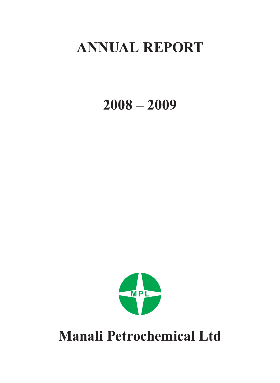# **ANNUAL REPORT**

**2008 – 2009**



**Manali Petrochemical Ltd**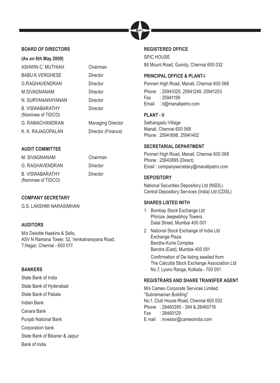

# **BOARD OF DIRECTORS**

| (As on 6th May 2009)                         |
|----------------------------------------------|
| ASHWIN C. MUTHIAH                            |
| <b>BABU K VERGHESE</b>                       |
| <b>G.RAGHAVENDRAN</b>                        |
| M.SIVAGNANAM                                 |
| N. SURYANARAYANAN                            |
| <b>B. VISWABARATHY</b><br>(Nominee of TIDCO) |
| <b>G. RAMACHANDRAN</b>                       |
| K. K. RAJAGOPALAN                            |

Chairman Director Director Director **Director Director** 

**Managing Director** Director (Finance)

# **AUDIT COMMITTEE**

M. SIVAGNANAM Chairman G. RAGHAVENDRAN Director B. VISWABARATHY (Nominee of TIDCO)

**Director** 

# **COMPANY SECRETARY**

G.S. LAKSHMI NARASIMHAN

# **AUDITORS**

M/s Deloitte Haskins & Sells, ASV N Ramana Tower, 52, Venkatnarayana Road, T.Nagar, Chennai - 600 017.

# **BANKERS**

State Bank of India State Bank of Hyderabad State Bank of Patiala Indian Bank Canara Bank Punjab National Bank Corporation bank State Bank of Bikaner & Jaipur Bank of India

# **REGISTERED OFFICE**

SPIC HOUSE 88 Mount Road, Guindy, Chennai 600 032

# **PRINCIPAL OFFICE & PLANT-I**

Ponneri High Road, Manali, Chennai 600 068 Phone : 25941025, 25941249, 25941253 Fax : 25941199 Email : it@manalipetro.com

# **PLANT - II**

Sathangadu Village Manali, Chennai 600 068 Phone : 25941698, 25941402

# **SECRETARIAL DEPARTMENT**

Ponneri High Road, Manali, Chennai 600 068 Phone : 25943895 (Direct) Email : companysecretary@manalipetro.com

# **DEPOSITORY**

National Securities Depository Ltd (NSDL) Central Depository Services (India) Ltd (CDSL)

# **SHARES LISTED WITH**

- 1 Bombay Stock Exchange Ltd Phiroze Jeejeebhoy Towers Dalal Street, Mumbai 400 001
- 2 National Stock Exchange of India Ltd Exchange Plaza Bandra-Kurla Complex Bandra (East), Mumbai 400 051

Confirmation of De-listing awaited from The Calcutta Stock Exchange Association Ltd No.7, Lyons Range, Kolkata - 700 001

# **REGISTRARS AND SHARE TRANSFER AGENT**

M/s Cameo Corporate Services Limited "Subramanian Building" No.1, Club House Road, Chennai 600 002 Phone : 28460390 - 394 & 28460718 Fax : 28460129 E mail : investor@cameoindia.com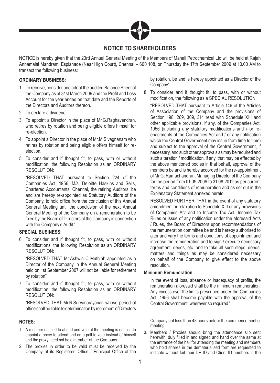

# **NOTICE TO SHAREHOLDERS**

NOTICE is hereby given that the 23rd Annual General Meeting of the Members of Manali Petrochemical Ltd will be held at Rajah Annamalai Mandram, Esplanade (Near High Court), Chennai – 600 108, on Thursday the 17th September 2009 at 10.00 AM to transact the following business:

# **ORDINARY BUSINESS:**

- 1. To receive, consider and adopt the audited Balance Sheet of the Company as at 31st March 2009 and the Profit and Loss Account for the year ended on that date and the Reports of the Directors and Auditors thereon.
- 2. To declare a dividend.
- 3. To appoint a Director in the place of Mr.G.Raghavendran, who retires by rotation and being eligible offers himself for re-election.
- 4. To appoint a Director in the place of Mr.M.Sivagnanam who retires by rotation and being eligible offers himself for reelection.
- 5. To consider and if thought fit, to pass, with or without modification, the following Resolution as an ORDINARY RESOLUTION:

 "RESOLVED THAT pursuant to Section 224 of the Companies Act, 1956, M/s. Deloitte Haskins and Sells, Chartered Accountants, Chennai, the retiring Auditors, be and are hereby re-appointed as Statutory Auditors of the Company, to hold office from the conclusion of this Annual General Meeting until the conclusion of the next Annual General Meeting of the Company on a remuneration to be fixed by the Board of Directors of the Company in connection with the Company's Audit."

# **SPECIAL BUSINESS:**

6. To consider and if thought fit, to pass, with or without modifications, the following Resolution as an ORDINARY RESOLUTION:

 "RESOLVED THAT Mr.Ashwin C Muthiah appointed as a Director of the Company in the Annual General Meeting held on 1st September 2007 will not be liable for retirement by rotation".

7. To consider and if thought fit, to pass, with or without modification, the following Resolution as an ORDINARY RESOLUTION:

 "RESOLVED THAT Mr.N.Suryanarayanan whose period of office shall be liable to determination by retirement of Directors

#### **NOTES:**

- 1. A member entitled to attend and vote at the meeting is entitled to appoint a proxy to attend and on a poll to vote instead of himself and the proxy need not be a member of the Company.
- 2. The proxies in order to be valid must be received by the Company at its Registered Office / Prinicipal Office of the

by rotation, be and is hereby appointed as a Director of the Company".

8. To consider and if thought fit, to pass, with or without modification, the following as a SPECIAL RESOLUTION:

 "RESOLVED THAT pursuant to Article 146 of the Articles of Association of the Company and the provisions of Section 198, 269, 309, 314 read with Schedule XIII and other applicable provisions, if any, of the Companies Act, 1956 (including any statutory modifications and / or reenactments of the Companies Act and / or any notification which the Central Government may issue from time to time) and subject to the approval of the Central Government, if necessary, and such other approvals as may be required and such alteration / modification, if any, that may be effected by the above mentioned bodies in that behalf, approval of the members be and is hereby accorded for the re-appointment of Mr G. Ramachandran, Managing Director of the Company for the period from 01.09.2009 to 31.08.2012 as per current terms and conditions of remuneration and as set out in the Explanatory Statement annexed hereto.

 RESOLVED FURTHER THAT in the event of any statutory amendment or relaxation to Schedule XIII or any provisions of Companies Act and to Income Tax Act, Income Tax Rules or issue of any notification under the aforesaid Acts / Rules, the Board of Directors upon recommendations of the remuneration committee be and is hereby authorised to alter and vary the terms and conditions of appointment and increase the remuneration and to sign / execute necessary agreement, deeds, etc. and to take all such steps, deeds, matters and things as may be considered necessary on behalf of the Company to give effect to the above resolution.

#### **Minimum Remuneration**

In the event of loss, absence or inadequacy of profits, the remuneration aforesaid shall be the minimum remuneration. Any excess over the limits prescribed under the Companies Act, 1956 shall become payable with the approval of the Central Government, wherever so required."

Company not less than 48 hours before the commencement of meeting.

3. Members / Proxies should bring the attendance slip sent herewith, duly filled in and signed and hand over the same at the entrance of the hall for attending the meeting and members who hold shares in the dematerialised form,are requested to indicate without fail their DP ID and Client ID numbers in the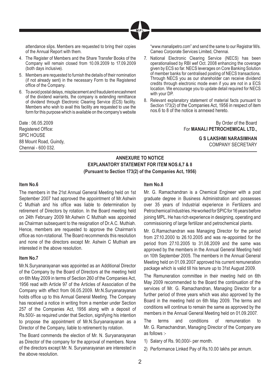

attendance slips. Members are requested to bring their copies of the Annual Report with them.

- 4. The Register of Members and the Share Transfer Books of the Company will remain closed from 10.09.2009 to 17.09.2009 (both days inclusive).
- 5. Members are requested to furnish the details of their nomination (if not already sent) in the necessary Form to the Registered office of the Company.
- 6. To avoid postal delays, misplacement and fraudulent encashment of the dividend warrants, the company is extending remittance of dividend through Electronic Clearing Service (ECS) facility. Members who wish to avail this facility are requested to use the form for this purpose which is available on the company's website

Date : 06.05.2009 Registered Office: SPIC HOUSE 88 Mount Road, Guindy, Chennai - 600 032.

"www.manalipetro.com" and send the same to our Registrar M/s. Cameo Corporate Services Limited, Chennai.

- 7. National Electronic Clearing Service (NECS) has been operationalised by RBI wef Oct. 2008 enhancing the coverage given by ECS so far. NECS leverages on Core Banking Solution of member banks for centralised posting of NECS transactions. Through NECS you as our shareholder can receive dividend credits through electronic mode even if you are not in a ECS location. We encourage you to update detail required for NECS with your DP.
- 8. Relevant explanatory statement of material facts pursuant to Section 173(2) of the Companies Act, 1956 in respect of item nos.6 to 8 of the notice is annexed hereto.

By Order of the Board For **MANALI PETROCHEMICAL LTD.,**

> **G S LAKSHMI NARASIMHAN** COMPANY SECRETARY

# **ANNEXURE TO NOTICE EXPLANATORY STATEMENT FOR ITEM NOS.6,7 & 8 (Pursuant to Section 173(2) of the Companies Act, 1956)**

#### **Item No.6**

The members in the 21st Annual General Meeting held on 1st September 2007 had approved the appointment of Mr.Ashwin C Muthiah and his office was liable to determination by retirement of Directors by rotation. In the Board meeting held on 24th February 2009 Mr.Ashwin C Muthiah was appointed as Chairman subsequent to the resignation of Dr.A.C. Muthiah. Hence, members are requested to approve the Chairman's office as non-rotational. The Board recommends this resolution and none of the directors except Mr. Ashwin C Muthiah are interested in the above resolution.

#### **Item No.7**

Mr.N.Suryanarayanan was appointed as an Additional Director of the Company by the Board of Directors at the meeting held on 6th May 2009 in terms of Section 260 of the Companies Act, 1956 read with Article 97 of the Articles of Association of the Company with effect from 06.05.2009. Mr.N.Suryanarayanan holds office up to this Annual General Meeting. The Company has received a notice in writing from a member under Section 257 of the Companies Act, 1956 along with a deposit of Rs.500/- as required under that Section, signifying his intention to propose the appointment of Mr.N.Suryanarayanan as a Director of the Company, liable to retirement by rotation.

The Board commends the election of Mr. N. Suryanarayanan as Director of the company for the approval of members. None of the directors except Mr. N. Suryanarayanan are interested in the above resolution.

# **Item No.8**

Mr. G. Ramachandran is a Chemical Engineer with a post graduate degree in Business Administration and possesses over 35 years of Industrial experience in Fertilizers and Petrochemical Industries. He worked for SPIC for 16 years before joining MPL. He has rich experience in designing, operating and commissioning of large fertilizer and petrochemical plants.

Mr. G.Ramachandran was Managing Director for the period from 27.10.2000 to 26.10.2005 and was re-appointed for the period from 27.10.2005 to 31.08.2009 and the same was approved by the members in the Annual General Meeting held on 10th September 2005. The members in the Annual General Meeting held on 01.09.2007 approved his current remuneration package which is valid till his tenure up to 31st August 2009.

The Remuneration committee in their meeting held on 6th May 2009 recommended to the Board the continuation of the services of Mr. G. Ramachandran, Managing Director for a further period of three years which was also approved by the Board in the meeting held on 6th May 2009. The terms and conditions will continue to remain the same as approved by the members in the Annual General Meeting held on 01.09.2007.

The terms and conditions of remuneration to Mr. G. Ramachandran, Managing Director of the Company are as follows :-

- 1) Salary of Rs. 90,000/- per month.
- 2) Performance Linked Pay of Rs.10.00 lakhs per annum.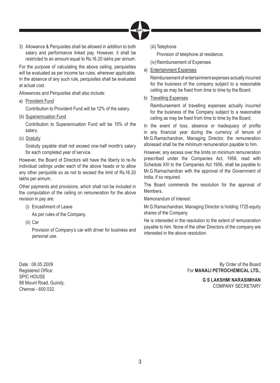

3) Allowance & Perquisites shall be allowed in addition to both salary and performance linked pay. However, it shall be restricted to an amount equal to Rs.16.20 lakhs per annum.

For the purpose of calculating the above ceiling, perquisities will be evaluated as per income tax rules, wherever applicable. In the absence of any such rule, perquisites shall be evaluated at actual cost.

Allowances and Perquisites shall also include:

a) Provident Fund

Contribution to Provident Fund will be 12% of the salary.

(b) Superannuation Fund

 Contribution to Superannuation Fund will be 15% of the salary.

(c) Gratuity

 Gratuity payable shall not exceed one-half month's salary for each completed year of service.

However, the Board of Directors will have the liberty to re-fix individual ceilings under each of the above heads or to allow any other perquisite so as not to exceed the limit of Rs.16.20 lakhs per annum.

Other payments and provisions, which shall not be included in the computation of the ceiling on remuneration for the above revision in pay are:

- (i) Encashment of Leave
	- As per rules of the Company.
- (ii) Car

 Provision of Company's car with driver for business and personal use.

Date : 06.05.2009 Registered Office: SPIC HOUSE 88 Mount Road, Guindy, Chennai - 600 032.

(iii) Telephone

Provision of telephone at residence.

(iv) Reimbursement of Expenses

a) Entertainment Expenses

 Reimbursement of entertainment expenses actually incurred for the business of the company subject to a reasonable ceiling as may be fixed from time to time by the Board.

b) Travelling Expenses

 Reimbursement of travelling expenses actually incurred for the business of the Company subject to a reasonable ceiling as may be fixed from time to time by the Board.

In the event of loss, absence or inadequacy of profits in any financial year during the currency of tenure of Mr.G.Ramachandran, Managing Director, the remuneration aforesaid shall be the minimum remuneration payable to him.

However, any excess over the limits on minimum remuneration prescribed under the Companies Act, 1956, read with Schedule XIII to the Companies Act 1956, shall be payable to Mr.G.Ramachandran with the approval of the Government of India, if so required.

The Board commends the resolution for the approval of **Members** 

Memorandum of Interest:

Mr.G.Ramachandran, Managing Director is holding 1725 equity shares of the Company.

He is interested in the resolution to the extent of remuneration payable to him. None of the other Directors of the company are interested in the above resolution.

> By Order of the Board For **MANALI PETROCHEMICAL LTD.,**

> > **G S LAKSHMI NARASIMHAN** COMPANY SECRETARY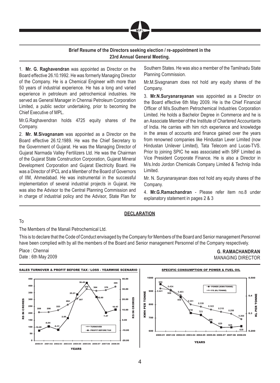

# **Brief Resume of the Directors seeking election / re-appointment in the 23rd Annual General Meeting.**

1. **Mr. G. Raghavendran** was appointed as Director on the Board effective 26.10.1992. He was formerly Managing Director of the Company. He is a Chemical Engineer with more than 50 years of industrial experience. He has a long and varied experience in petroleum and petrochemical industries. He served as General Manager in Chennai Petroleum Corporation Limited, a public sector undertaking, prior to becoming the Chief Executive of MPL.

Mr.G.Raghavendran holds 4725 equity shares of the Company.

2. **Mr. M.Sivagnanam** was appointed as a Director on the Board effective 26.12.1989. He was the Chief Secretary to the Government of Gujarat. He was the Managing Director of Gujarat Narmada Valley Fertilizers Ltd. He was the Chairman of the Gujarat State Construction Corporation, Gujarat Mineral Development Corporation and Gujarat Electricity Board. He was a Director of IPCL and a Member of the Board of Governors of IIM, Ahmedabad. He was instrumental in the successful implementation of several industrial projects in Gujarat. He was also the Advisor to the Central Planning Commission and in charge of industrial policy and the Advisor, State Plan for Southern States. He was also a member of the Tamilnadu State Planning Commission.

Mr.M.Sivagnanam does not hold any equity shares of the Company.

3. **Mr.N.Suryanarayanan** was appointed as a Director on the Board effective 6th May 2009. He is the Chief Financial Officer of M/s. Southern Petrochemical Industries Corporation Limited. He holds a Bachelor Degree in Commerce and he is an Associate Member of the Institute of Chartered Accountants of India. He carries with him rich experience and knowledge in the areas of accounts and finance gained over the years from renowned companies like Hindustan Lever Limited (now Hindustan Unilever Limited), Tata Telecom and Lucas-TVS. Prior to joining SPIC he was associated with SRF Limited as Vice President Corporate Finance. He is also a Director in M/s.Indo Jordon Chemicals Company Limited & Technip India Limited.

Mr. N. Suryanarayanan does not hold any equity shares of the Company.

4. **Mr.G.Ramachandran** - Please refer item no.8 under explanatory statement in pages 2 & 3

#### **DECLARATION**

#### To

The Members of the Manali Petrochemical Ltd.

This is to declare that the Code of Conduct envisaged by the Company for Members of the Board and Senior management Personnel have been complied with by all the members of the Board and Senior management Personnel of the Company respectively.

Place : Chennai Date : 6th May 2009

**G. RAMACHANDRAN** MANAGING DIRECTOR

0.200

0.300

 $0.4$ 

PER TONNE

KL PER TONNE

0.500

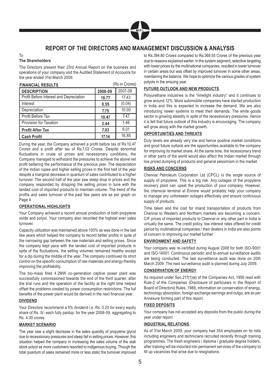

# **REPORT OF THE DIRECTORS AND MANAGEMENT DISCUSSION & ANALYSIS**

#### To **The Shareholders**

The Directors present their 23rd Annual Report on the business and operations of your company and the Audited Statement of Accounts for the year ended 31st March 2009.

| <b>FINANCIAL RESULTS</b>                |         | (Rs in Crores) |
|-----------------------------------------|---------|----------------|
| <b>DESCRIPTION</b>                      | 2008-09 | 2007-08        |
| Profit Before Interest and Depreciation | 18.77   | 17.43          |
| Interest                                | 0.55    | (0.04)         |
| Depreciation                            | 7.75    | 10.00          |
| Profit Before Tax                       | 10.47   | 7.47           |
| Provision for Taxation                  | 3.44    | 1.46           |
| <b>Profit After Tax</b>                 | 7.03    | 6.01           |
| <b>Cash Profit</b>                      | 17.14   | 16.85          |

During the year, the Company achieved a profit before tax of Rs.10.47 Crores and a profit after tax of Rs.7.03 Crores. Despite abnormal fluctuations in crude oil prices and recessionary conditions, the Company managed to withstand the pressures to achieve the above net profit bettering the performance of the previous year. The depreciation of the Indian rupee and higher selling prices in the first half of the year despite a marginal decrease in quantum of sales contributed to a higher turnover. The second half of the year saw steep drop in prices and the company responded by dropping the selling prices in tune with the landed cost of imported products to maintain volume. The trend of the profits and sales turnover of the past few years are as per graph on Page 4.

#### **OPERATIONAL HIGHLIGHTS**

Your Company achieved a record annual production of both propylene oxide and polyol. Your company also recorded the highest ever sales turnover.

Capacity utilization was maintained above 100% as was done in the last few years which helped the company to record better profits in spite of the narrowing gap between the raw materials and selling prices. Since the company kept pace with the landed cost of imported products in spite of the fluctuations, the selling volumes remained healthy except for a dip during the middle of the year. The company continued its strict control on the specific consumption of raw materials and energy thereby improving the profitability.

The bio-mass fired 4.2MW co-generation captive power plant was successfully commissioned towards the end of the third quarter, after the trial runs and the operation of the facility at the right time helped offset the problems created by power consumption restrictions. The full benefits of the power plant would be derived in the next financial year.

#### **DIVIDEND**

Your Directors recommend a 5% dividend i.e. Rs. 0.25 for every equity share of Rs. 5/- each fully paidup, for the year 2008-09, aggregating to Rs. 4.30 crores.

#### **MARKET SCENARIO**

The year saw a slight decrease in the sales quantity of propylene glycol due to recessionary pressures and steep fall in selling prices. However, this situation helped the company in increasing the sales volume of the slab stock polyol as more customers resorted to indigenous buying. Though the total quantum of sales remained more or less static the turnover improved

to Rs.394.80 Crores compared to Rs.369.55 Crores of the previous year due to reasons explained earlier. In the system segment, selective targeting with lower prices by the multinational companies, resulted in lower turnover in certain areas but was offset by improved turnover in some other areas, maintaining the balance. We hope to optimize the various grades of system polyols in the ensuing year.

#### **FUTURE OUTLOOK AND NEW PRODUCTS**

Polyurethane industries is the "limelight industry" and it continues to grow around 12%. More automobile companies have started production in India and this is expected to increase the demand. We are also introducing newer systems to meet their demands. The white goods sector is growing steadily in spite of the recessionary pressures. Hence it is felt that future outlook of this industry is encouraging. The company will grow along with the market growth.

#### **OPPORTUNITIES AND THREATS**

Duty levels are already very low and hence positive market conditions and good future outlook are the opportunities available to the company for improving its market share. At the same time, the recessionary trend in other parts of the world would also affect the Indian market through low priced dumping of products and general pessimism in the market.

#### **RISKS AND CONCERNS**

Chennai Petroleum Corporation Ltd (CPCL) is the single source of supply of propylene. This is a big risk. Any outages of the propylene recovery plant can upset the production of your company. However, the chemical terminal at Ennore would probably help your company to manage any unforeseen outages effectively and ensure continuous supply of products.

Time taken and the cost for inland transportation of products from Chennai to Western and Northern markets are becoming a concern. CIF prices of imported products to Chennai or any other part in India is virtually the same. The credit policy, low interest rates offered for credit period by multinational companies / their dealers in India are also points of concern in improving our market further.

# **ENVIRONMENT AND SAFETY**

Your company was re-certified during August 2008 for both ISO-9001 and ISO-14001. Continuous periodic and bi-annual surveillance audits are being conducted. The last surveillance audit was done on 20th March 2009. The next surveillance audit is planned during July 2009.

#### **CONSERVATION OF ENERGY**

As required under Sec.217(1)(e) of the Companies Act, 1956 read with Rule-2 of the Companies (Disclosure of particulars in the Report of Board of Directors) Rules, 1988, information on conservation of energy, technology absorption, foreign exchange earnings and outgo, are as per Annexure forming part of this report.

#### **FIXED DEPOSITS**

Your company has not accepted any deposits from the public during the year under report.

#### **INDUSTRIAL RELATIONS**

As of 31st March 2009, your company had 354 employees on its rolls including engineers and technicians recruited recently through training programmes. The fresh engineers / diploma / graduate degree holders, after training will be inducted into permanent services of the company to fill up vacancies that arise due to resignations.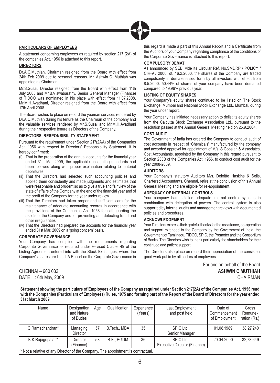

# **PARTICULARS OF EMPLOYEES**

A statement concerning employees as required by section 217 (2A) of the companies Act, 1956 is attached to this report.

#### **DIRECTORS**

Dr.A.C.Muthiah, Chairman resigned from the Board with effect from 24th Feb 2009 due to personal reasons. Mr. Ashwin C. Muthiah was appointed as Chairman.

Mr.S.Susai, Director resigned from the Board with effect from 11th July 2008 and Mr.B.Viswabarathy, Senior General Manager (Finance) of TIDCO was nominated in his place with effect from 11.07.2008. Mr.M.H.Avadhani, Director resigned from the Board with effect from 17th April 2008.

The Board wishes to place on record the yeoman services rendered by Dr.A.C.Muthiah during his tenure as the Chairman of the company and the valuable services rendered by Mr.S.Susai and Mr.M.H.Avadhani during their respective tenure as Directors of the Company.

#### **DIRECTORS' RESPONSIBILITY STATEMENT**

Pursuant to the requirement under Section 217(2AA) of the Companies Act, 1956 with respect to Directors' Responsibility Statement, it is hereby confirmed:

- $(i)$  That in the preparation of the annual accounts for the financial year ended 31st Mar 2009, the applicable accounting standards had been followed along with proper explanation relating to material departures;
- (ii) That the Directors had selected such accounting policies and applied them consistently and made judgments and estimates that were reasonable and prudent so as to give a true and fair view of the state of affairs of the Company at the end of the financial year and of the profit of the Company for the year under review.
- (iii) That the Directors had taken proper and sufficient care for the maintenance of adequate accounting records in accordance with the provisions of the Companies Act, 1956 for safeguarding the assets of the Company and for preventing and detecting fraud and other irregularities;
- (iv) That the Directors had prepared the accounts for the financial year ended 31st Mar, 2009 on a 'going concern' basis.

#### **CORPORATE GOVERNANCE**

Your Company has complied with the requirements regarding Corporate Governance as required under Revised Clause 49 of the Listing Agreement entered into with the Stock Exchanges, where the Company's shares are listed. A Report on the Corporate Governance in

CHENNAI – 600 032 DATE : 6th May, 2009 this regard is made a part of this Annual Report and a Certificate from the Auditors of your Company regarding compliance of the conditions of the Corporate Governance is attached to this report.

#### **COMPULSORY DEMAT**

As announced by SEBI vide its Circular Ref. No.SMDRP / POLICY / CIR-9 / 2000, dt. 16.2.2000, the shares of the Company are traded compulsorily in dematerialised form by all investors with effect from 8.5.2000. 50.44% of shares of your company have been dematted compared to 49.96% previous year.

#### **LISTING OF EQUITY SHARES**

Your Company's equity shares continued to be listed on The Stock Exchange, Mumbai and National Stock Exchange Ltd., Mumbai, during the year under report.

Your Company has initiated necessary action to delist its equity shares from the Calcutta Stock Exchange Association Ltd., pursuant to the resolution passed at the Annual General Meeting held on 25.9.2004.

#### **COST AUDIT**

The Government of India has ordered the Company to conduct audit of cost accounts in respect of 'Chemicals' manufactured by the company and accorded approval for appointment of M/s. S Gopalan & Associates, Cost Accountants, appointed by the Company in this regard pursuant to Section 233B of the Companies Act, 1956, to conduct cost audit for the year 2008-2009.

#### **AUDITORS**

Your Company's statutory Auditors M/s. Deloitte Haskins & Sells, Chartered Accountants, Chennai, retire at the conclusion of this Annual General Meeting and are eligible for re-appointment.

#### **ADEQUACY OF INTERNAL CONTROLS**

Your company has installed adequate internal control systems in combination with delegation of powers. The control system is also supported by internal audits and management reviews with documented policies and procedures.

#### **ACKNOWLEDGEMENT**

Your Directors express their grateful thanks for the assistance, co-operation and support extended to the Company by the Government of India, the Government of Tamilnadu, TIDCO, SPIC, the Promoter and the Consortium of Banks. The Directors wish to thank particularly the shareholders for their continued and patient support.

The Directors also place on record their appreciation of the consistent good work put in by all cadres of employees.

> For and on behalf of the Board **ASHWIN C MUTHIAH** CHAIRMAN

**Statement showing the particulars of Employees of the Company as required under Section 217(2A) of the Companies Act, 1956 read with the Companies (Particulars of Employees) Rules, 1975 and forming part of the Report of the Board of Directors for the year ended 31st March 2009**

| Name                                                                           | Designation<br>and Nature<br>of Duties | Age | Qualification | Experience<br>(Years) | Last Employment<br>and post held           | Date of<br>Commencement<br>of Employment | Gross<br>Remune-<br>ration (Rs.) |
|--------------------------------------------------------------------------------|----------------------------------------|-----|---------------|-----------------------|--------------------------------------------|------------------------------------------|----------------------------------|
| G Ramachandran*                                                                | Managing<br><b>Director</b>            | 57  | B.Tech., MBA  | 35                    | SPIC Ltd.,<br>Senior Manager               | 01.08.1989                               | 38.27.240                        |
| K K Rajagopalan*                                                               | <b>Director</b><br>(Finance)           | 58  | B.E., PGDM    | 36                    | SPIC Ltd.,<br>Executive Director (Finance) | 20.04.2000                               | 32,78,649                        |
| Not a relative of any Director of the Company. The appointment is contractual. |                                        |     |               |                       |                                            |                                          |                                  |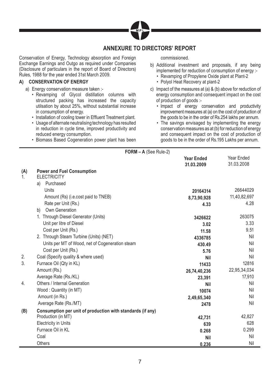

# **ANNEXURE TO DIRECTORS' REPORT**

Conservation of Energy, Technology absorption and Foreign Exchange Earnings and Outgo as required under Companies (Disclosure of particulars in the report of Board of Directors) Rules, 1988 for the year ended 31st March 2009.

### **A) CONSERVATION OF ENERGY**

- a) Energy conservation measure taken :-
	- Revamping of Glycol distillation columns with structured packing has increased the capacity utilsation by about 25%, without substantial increase in consumption of energy.
	- Installation of cooling tower in Effluent Treatment plant.
	- Usage of alternate neutralising technology has resulted in reduction in cycle time, improved productivity and reduced energy consumption.
	- Biomass Based Cogeneration power plant has been

#### commissioned.

- b) Additional investment and proposals, if any being implemented for reduction of consumption of energy :-
	- Revamping of Propylene Oxide plant at Plant-2
	- Polyol Heat Recovery at plant-2
- c) Impact of the measures at (a) & (b) above for reduction of energy consumption and consequent impact on the cost of production of goods :-
	- Impact of energy conservation and productivity improvement measures at (a) on the cost of production of the goods to be in the order of Rs.254 lakhs per annum.
	- The savings envisaged by implementing the energy conservation measures as at (b) for reduction of energy and consequent impact on the cost of production of goods to be in the order of Rs.195 Lakhs per annum.

|           | $FORM - A$ (See Rule-2)                                    |                                 |                          |
|-----------|------------------------------------------------------------|---------------------------------|--------------------------|
|           |                                                            | <b>Year Ended</b><br>31.03.2009 | Year Ended<br>31.03.2008 |
| (A)<br>1. | <b>Power and Fuel Consumption</b><br><b>ELECTRICITY</b>    |                                 |                          |
|           | Purchased<br>a)                                            |                                 |                          |
|           | Units                                                      | 20164314                        | 26644029                 |
|           | Amount (Rs) (i.e.cost paid to TNEB)                        | 8,73,90,928                     | 11,40,82,697             |
|           | Rate per Unit (Rs.)                                        | 4.33                            | 4.28                     |
|           | Own Generation<br>b)                                       |                                 |                          |
|           | 1. Through Diesel Generator (Units)                        | 3426622                         | 263075                   |
|           | Unit per litre of Diesel                                   | 3.02                            | 3.33                     |
|           | Cost per Unit (Rs.)                                        | 11.58                           | 9.51                     |
|           | 2. Through Steam Turbine (Units) (NET)                     | 4336785                         | Nil                      |
|           | Units per MT of Wood, net of Cogeneration steam            | 430.49                          | Nil                      |
|           | Cost per Unit (Rs.)                                        | 5.76                            | Nil                      |
| 2.        | Coal (Specify quality & where used)                        | <b>Nil</b>                      | Nil                      |
| 3.        | Furnace Oil (Qty in KL)                                    | 11433                           | 12816                    |
|           | Amount (Rs.)                                               | 26,74,40,236                    | 22,95,34,034             |
|           | Average Rate (Rs./KL)                                      | 23,391                          | 17,910                   |
| 4.        | Others / Internal Generation                               | <b>Nil</b>                      | Nil                      |
|           | Wood: Quantity (in MT)                                     | 10074                           | Nil                      |
|           | Amount (in Rs.)                                            | 2,49,65,340                     | Nil                      |
|           | Average Rate (Rs./MT)                                      | 2478                            | Nil                      |
| (B)       | Consumption per unit of production with standards (if any) |                                 |                          |
|           | Production (in MT)                                         | 42,731                          | 42,827                   |
|           | <b>Electricity in Units</b>                                | 639                             | 628                      |
|           | Furnace Oil in KL                                          | 0.268                           | 0.299                    |
|           | Coal                                                       | <b>Nil</b>                      | Nil                      |
|           | Others                                                     | 0.236                           | Nil                      |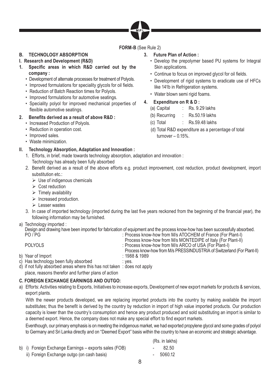

**FORM-B** (See Rule 2)

# **B. TECHNOLOGY ABSORPTION**

# **I. Research and Development (R&D)**

- **1. Specifi c areas in which R&D carried out by the company :**
	- Development of alternate processes for treatment of Polyols.
	- Improved formulations for speciality glycols for oil fields.
	- Reduction of Batch Reaction times for Polyols.
	- Improved formulations for automotive seatings.
	- Speciality polyol for improved mechanical properties of flexible automotive seatings.

# **2. Benefi ts derived as a result of above R&D :**

- Increased Production of Polyols.
- Reduction in operation cost.
- Improved sales.
- Waste minimization.

# **II. Technology Absorption, Adaptation and Innovation :**

- 1. Efforts, in brief, made towards technology absorption, adaptation and innovation : Technology has already been fully absorbed
- 2. Benefit derived as a result of the above efforts e.g. product improvement, cost reduction, product development, import substitution etc.:
	- $\triangleright$  Use of indigenous chemicals
	- $\triangleright$  Cost reduction
	- $\triangleright$  Timely availability
	- $\triangleright$  Increased production.
	- $\triangleright$  Lesser wastes
- 3. In case of imported technology (imported during the last five years reckoned from the beginning of the financial year), the following information may be furnished.
- a) Technology imported :

Design and drawing have been imported for fabrication of equipment and the process know-how has been successfully absorbed.<br>PO / PG / PT (France (For Plant-I) : Process know-how from M/s ATOCHEM of France (For Plant-I) : Process know-how from M/s ATOCHEM of France (For Plant-I)

|                                       | Process know-how from M/s MONTEDIPE of Italy (For Plant-II)            |
|---------------------------------------|------------------------------------------------------------------------|
| <b>POLYOLS</b>                        | : Process know-how from M/s ARCO of USA (For Plant-I)                  |
|                                       | Process know-how from M/s PRESSINDUSTRIA of Switzerland (For Plant-II) |
| b) Year of Import                     | $: 1988$ & 1989                                                        |
| c) Has technology been fully absorbed | : ves.                                                                 |

- d) if not fully absorbed areas where this has not taken : does not apply
- place, reasons therefor and further plans of action

# **C. FOREIGN EXCHANGE EARNINGS AND OUTGO:**

a) Efforts: Activities relating to Exports, Initiatives to increase exports, Development of new export markets for products & services, export plants.

 With the newer products developed, we are replacing imported products into the country by making available the import substitutes; thus the benefit is derived by the country by reduction in import of high value imported products. Our production capacity is lower than the country's consumption and hence any product produced and sold substituting an import is similar to a deemed export. Hence, the company does not make any special effort to find export markets.

 Eventhough, our primary emphasis is on meeting the indigenous market, we had exported propylene glycol and some grades of polyol to Germany and Sri Lanka directly and on "Deemed Export" basis within the country to have an economic and strategic advantage.

|                                                       | (Rs. in lakhs) |
|-------------------------------------------------------|----------------|
| b) i) Foreign Exchange Earnings - exports sales (FOB) | 82.50          |
| ii) Foreign Exchange outgo (on cash basis)            | $-5060.12$     |

- **3. Future Plan of Action :**
	- Develop the prepolymer based PU systems for Integral Skin applications.
	- Continue to focus on improved glycol for oil fields.
	- Development of rigid systems to eradicate use of HFCs like 141b in Refrigeration systems.
	- Water blown semi rigid foams.
- **4. Expenditure on R & D :** 
	- (a) Capital : Rs. 9.29 lakhs
	- (b) Recurring : Rs.50.19 lakhs
	- (c) Total : Rs.59.48 lakhs
	- (d) Total R&D expenditure as a percentage of total  $turnover - 0.15%$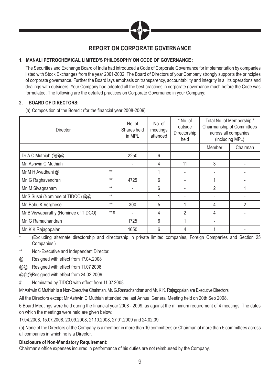

# **REPORT ON CORPORATE GOVERNANCE**

# **1. MANALI PETROCHEMICAL LIMITED'S PHILOSOPHY ON CODE OF GOVERNANCE :**

 The Securities and Exchange Board of India had introduced a Code of Corporate Governance for implementation by companies listed with Stock Exchanges from the year 2001-2002. The Board of Directors of your Company strongly supports the principles of corporate governance. Further the Board lays emphasis on transparency, accountability and integrity in all its operations and dealings with outsiders. Your Company had adopted all the best practices in corporate governance much before the Code was formulated. The following are the detailed practices on Corporate Governance in your Company:

# **2. BOARD OF DIRECTORS:**

(a) Composition of the Board : (for the financial year 2008-2009)

| <b>Director</b>                      |         | No. of<br>Shares held<br>in MPL | No. of<br>meetings<br>attended | * No. of<br>outside<br>Directorship<br>held | Total No. of Membership /<br>Chairmanship of Committees<br>across all companies<br>(including MPL) |          |
|--------------------------------------|---------|---------------------------------|--------------------------------|---------------------------------------------|----------------------------------------------------------------------------------------------------|----------|
|                                      |         |                                 |                                |                                             | Member                                                                                             | Chairman |
| Dr A C Muthiah @@@                   |         | 2250                            | 6                              |                                             |                                                                                                    |          |
| Mr. Ashwin C Muthiah                 |         |                                 | 4                              | 11                                          | 3                                                                                                  |          |
| Mr.M H Avadhani @                    | $**$    |                                 |                                |                                             |                                                                                                    |          |
| Mr. G Raghavendran                   | $***$   | 4725                            | 6                              |                                             |                                                                                                    |          |
| Mr. M Sivagnanam                     | $**$    |                                 | 6                              |                                             | $\overline{2}$                                                                                     |          |
| Mr.S.Susai (Nominee of TIDCO) @@     | $**$    |                                 |                                |                                             |                                                                                                    |          |
| Mr. Babu K Verghese                  | $**$    | 300                             | 5                              |                                             | 4                                                                                                  | 2        |
| Mr.B.Viswabarathy (Nominee of TIDCO) | $***$ # |                                 | 4                              | 2                                           | 4                                                                                                  |          |
| Mr. G Ramachandran                   |         | 1725                            | 6                              |                                             |                                                                                                    |          |
| Mr. K K Rajagopalan                  |         | 1650                            | 6                              | 4                                           |                                                                                                    |          |

\* (Excluding alternate directorship and directorship in private limited companies, Foreign Companies and Section 25 Companies.)

Non-Executive and Independent Director.

@ Resigned with effect from 17.04.2008

@@ Resigned with effect from 11.07.2008

@@@ Resigned with effect from 24.02.2009

# Nominated by TIDCO with effect from 11.07.2008

Mr Ashwin C Muthiah is a Non-Executive Chairman, Mr. G.Ramachandran and Mr. K.K. Rajagopalan are Executive Directors.

All the Directors except Mr.Ashwin C Muthiah attended the last Annual General Meeting held on 20th Sep 2008.

6 Board Meetings were held during the financial year 2008 - 2009, as against the minimum requirement of 4 meetings. The dates on which the meetings were held are given below:

17.04.2008, 15.07.2008, 20.09.2008, 21.10.2008, 27.01.2009 and 24.02.09

(b) None of the Directors of the Company is a member in more than 10 committees or Chairman of more than 5 committees across all companies in which he is a Director.

# **Disclosure of Non-Mandatory Requirement:**

Chairman's office expenses incurred in performance of his duties are not reimbursed by the Company.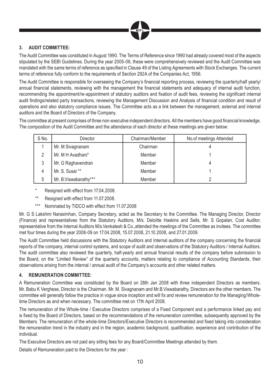

# **3. AUDIT COMMITTEE:**

The Audit Committee was constituted in August 1990. The Terms of Reference since 1990 had already covered most of the aspects stipulated by the SEBI Guidelines. During the year 2005-06, these were comprehensively reviewed and the Audit Committee was mandated with the same terms of reference as specified in Clause 49 of the Listing Agreements with Stock Exchanges. The current terms of reference fully conform to the requirements of Section 292A of the Companies Act, 1956.

The Audit Committee is responsible for overseeing the Company's financial reporting process, reviewing the quarterly/half yearly/ annual financial statements, reviewing with the management the financial statements and adequacy of internal audit function, recommending the appointment/re-appointment of statutory auditors and fixation of audit fees, reviewing the significant internal audit findings/related party transactions, reviewing the Management Discussion and Analysis of financial condition and result of operations and also statutory compliance issues. The Committee acts as a link between the management, external and internal auditors and the Board of Directors of the Company.

The committee at present comprises of three non-executive independent directors. All the members have good financial knowledge. The composition of the Audit Committee and the attendance of each director at these meetings are given below:

| S No. | Director              | Chairman/Member | No.of meetings Attended |
|-------|-----------------------|-----------------|-------------------------|
|       | Mr. M Sivagnanam      | Chairman        |                         |
| 2     | Mr. M H Avadhani*     | Member          |                         |
| 3     | Mr. G Raghavendran    | Member          |                         |
| 4     | Mr. S. Susai **       | Member          |                         |
| 5     | Mr. B.Viswabarathy*** | Member          |                         |

- Resigned with effect from 17.04.2008.
- \*\* Resigned with effect from 11.07.2008.
- \*\*\* Nominated by TIDCO with effect from 11.07.2008

Mr. G S Lakshmi Narasimhan, Company Secretary, acted as the Secretary to the Committee. The Managing Director, Director (Finance) and representatives from the Statutory Auditors, M/s. Deloitte Haskins and Sells, Mr. S Gopalan, Cost Auditor, representative from the Internal Auditors M/s.Venkatesh & Co.,attended the meetings of the Committee as invitees. The committee met four times during the year 2008-09 on 17.04.2008, 15.07.2008, 21.10.2008, and 27.01.2009.

The Audit Committee held discussions with the Statutory Auditors and Internal auditors of the company concerning the financial reports of the company, internal control systems, and scope of audit and observations of the Statutory Auditors / Internal Auditors. The audit committee also reviewed the quarterly, half-yearly and annual financial results of the company before submission to the Board, on the "Limited Review" of the quarterly accounts, matters relating to compliance of Accounting Standards, their observations arising from the internal / annual audit of the Company's accounts and other related matters.

# **4. REMUNERATION COMMITTEE:**

A Remuneration Committee was constituted by the Board on 28th Jan 2008 with three independent Directors as members. Mr. Babu K Verghese, Director is the Chairman. Mr. M. Sivagnanam and Mr.B.Viswabarathy, Directors are the other members. The committee will generally follow the practice in vogue since inception and will fix and review remuneration for the Managing/Wholetime Directors as and when necessary. The committee met on 17th April 2008.

The remuneration of the Whole-time / Executive Directors comprises of a Fixed Component and a performance linked pay and is fixed by the Board of Directors, based on the recommendations of the remuneration committee, subsequently approved by the Members. The remuneration of the whole-time Directors/Executive Directors is recommended and fixed taking into consideration the remuneration trend in the industry and in the region, academic background, qualification, experience and contribution of the individual.

The Executive Directors are not paid any sitting fees for any Board/Committee Meetings attended by them.

Details of Remuneration paid to the Directors for the year :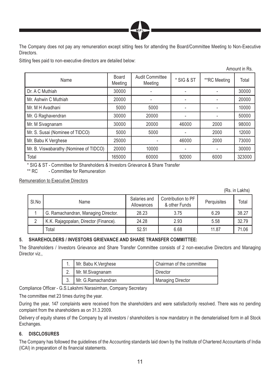

The Company does not pay any remuneration except sitting fees for attending the Board/Committee Meeting to Non-Executive **Directors** 

Sitting fees paid to non-executive directors are detailed below:

|                                        |                  |                                   |                          |              | AIIIUUIILIII KS. |
|----------------------------------------|------------------|-----------------------------------|--------------------------|--------------|------------------|
| Name                                   | Board<br>Meeting | <b>Audit Committee</b><br>Meeting | * SIG & ST               | **RC Meeting | Total            |
| Dr. A C Muthiah                        | 30000            |                                   |                          |              | 30000            |
| Mr. Ashwin C Muthiah                   | 20000            |                                   |                          |              | 20000            |
| Mr. M H Avadhani                       | 5000             | 5000                              | $\overline{\phantom{a}}$ |              | 10000            |
| Mr. G Raghavendran                     | 30000            | 20000                             |                          |              | 50000            |
| Mr. M Sivagnanam                       | 30000            | 20000                             | 46000                    | 2000         | 98000            |
| Mr. S. Susai (Nominee of TIDCO)        | 5000             | 5000                              |                          | 2000         | 12000            |
| Mr. Babu K Verghese                    | 25000            |                                   | 46000                    | 2000         | 73000            |
| Mr. B. Viswabarathy (Nominee of TIDCO) | 20000            | 10000                             |                          |              | 30000            |
| Total                                  | 165000           | 60000                             | 92000                    | 6000         | 323000           |

\* SIG & ST - Committee for Shareholders & Investors Grievance & Share Transfer

\*\* RC - Committee for Remuneration

Remuneration to Executive Directors

(Rs. in Lakhs)

 $\lambda$  in Rs.

| SI.No | Name                                  | Salaries and<br>Allowances | Contribution to PF<br>& other Funds | Perquisites | Total |
|-------|---------------------------------------|----------------------------|-------------------------------------|-------------|-------|
|       | G. Ramachandran, Managing Director.   | 28.23                      | 3.75                                | 6.29        | 38.27 |
|       | K.K. Rajagopalan, Director (Finance). | 24.28                      | 2.93                                | 5.58        | 32.79 |
|       | Total                                 | 52.51                      | 6.68                                | 11.87       | 71.06 |

# **5. SHAREHOLDERS / INVESTORS GRIEVANCE AND SHARE TRANSFER COMMITTEE:**

The Shareholders / Investors Grievance and Share Transfer Committee consists of 2 non-executive Directors and Managing Director viz.,

| Mr. Babu K.Verghese | Chairman of the committee |
|---------------------|---------------------------|
| Mr. M.Sivagnanam    | Director                  |
| Mr. G.Ramachandran  | <b>Managing Director</b>  |

Compliance Officer - G.S.Lakshmi Narasimhan, Company Secretary

The committee met 23 times during the year.

During the year, 147 complaints were received from the shareholders and were satisfactorily resolved. There was no pending complaint from the shareholders as on 31.3.2009.

Delivery of equity shares of the Company by all investors / shareholders is now mandatory in the dematerialised form in all Stock Exchanges.

# **6. DISCLOSURES**

The Company has followed the guidelines of the Accounting standards laid down by the Institute of Chartered Accountants of India (ICAI) in preparation of its financial statements.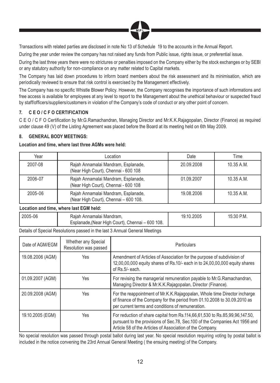

Transactions with related parties are disclosed in note No 13 of Schedule 19 to the accounts in the Annual Report.

During the year under review the company has not raised any funds from Public issue, rights issue, or preferential issue.

During the last three years there were no strictures or penalties imposed on the Company either by the stock exchanges or by SEBI or any statutory authority for non-compliance on any matter related to Capital markets.

The Company has laid down procedures to inform board members about the risk assessment and its minimisation, which are periodically reviewed to ensure that risk control is exercised by the Management effectively.

The Company has no specific Whistle Blower Policy. However, the Company recognises the importance of such informations and free access is available for employees at any level to report to the Management about the unethical behaviour or suspected fraud by staff/officers/suppliers/customers in violation of the Company's code of conduct or any other point of concern.

# **7. C E O / C F O CERTIFICATION**

C E O / C F O Certification by Mr.G.Ramachandran, Managing Director and Mr.K.K.Rajagopalan, Director (Finance) as required under clause 49 (V) of the Listing Agreement was placed before the Board at its meeting held on 6th May 2009.

# **8. GENERAL BODY MEETINGS:**

#### **Location and time, where last three AGMs were held:**

| Year    | Location                                                                     | Date       | Time         |
|---------|------------------------------------------------------------------------------|------------|--------------|
| 2007-08 | Rajah Annamalai Mandram, Esplanade,<br>(Near High Court), Chennai - 600 108  | 20.09.2008 | $10.35$ A.M. |
| 2006-07 | Rajah Annamalai Mandram, Esplanade,<br>(Near High Court), Chennai - 600 108  | 01.09.2007 | 10.35 A.M.   |
| 2005-06 | Rajah Annamalai Mandram, Esplanade,<br>(Near High Court), Chennai - 600 108. | 19.08.2006 | 10.35 A.M.   |

#### **Location and time, where last EGM held:**

| $12005-06$ | Rajah Annamalai Mandram,<br>Esplanade, (Near High Court), Chennai – 600 108. | 19.10.2005 | 15:30 P.M. |
|------------|------------------------------------------------------------------------------|------------|------------|
|            |                                                                              |            |            |

Details of Special Resolutions passed in the last 3 Annual General Meetings

| Date of AGM/EGM  | Whether any Special<br>Resolution was passed | Particulars                                                                                                                                                                                                             |
|------------------|----------------------------------------------|-------------------------------------------------------------------------------------------------------------------------------------------------------------------------------------------------------------------------|
| 19.08.2006 (AGM) | Yes                                          | Amendment of Articles of Association for the purpose of subdivision of<br>12,00,00,000 equity shares of Rs.10/- each in to 24,00,00,000 equity shares<br>of Rs.5/- each.                                                |
| 01.09.2007 (AGM) | Yes                                          | For revising the managerial remuneration payable to Mr.G.Ramachandran,<br>Managing Director & Mr.K.K.Rajagopalan, Director (Finance).                                                                                   |
| 20.09.2008 (AGM) | Yes                                          | For the reappointment of Mr.K.K.Rajagopalan, Whole time Director incharge<br>of finance of the Company for the period from 01.10.2008 to 30.09.2010 as<br>per current terms and conditions of remuneration.             |
| 19.10.2005 (EGM) | Yes                                          | For reduction of share capital from Rs.114,66,61,530 to Rs.85,99,96,147.50,<br>pursuant to the provisions of Sec.78, Sec.100 of the Companies Act 1956 and<br>Article 58 of the Articles of Association of the Company. |

No special resolution was passed through postal ballot during last year. No special resolution requiring voting by postal ballot is included in the notice convening the 23rd Annual General Meeting ( the ensuing meeting) of the Company.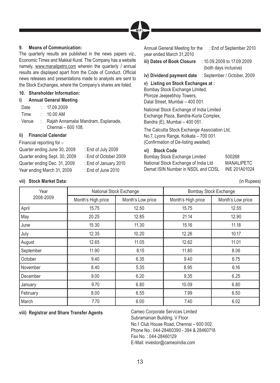

# **9. Means of Communication:**

The quarterly results are published in the news papers viz., Economic Times and Makkal Kural. The Company has a website namely, www.manalipetro.com wherein the quarterly / annual results are displayed apart from the Code of Conduct. Official news releases and presentations made to analysts are sent to the Stock Exchanges, where the Company's shares are listed.

### **10. Shareholder Information:**

#### **i) Annual General Meeting**

| Date  | : 17.09.2009                          |
|-------|---------------------------------------|
| Time  | : 10.00 A M                           |
| Venue | : Rajah Annamalai Mandram, Esplanade, |

Chennai – 600 108.

# **ii) Financial Calendar**

#### Financial reporting for –

Quarter ending June 30, 2009 : End of July 2009 Quarter ending Sept. 30, 2009 : End of October 2009 Quarter ending Dec. 31, 2009 : End of January 2010 Year ending March 31, 2009 : End of June 2010

- 
- 
- 

Annual General Meeting for the year ended March 31,2010 : End of September 2010

**iii) Dates of Book Closure** : 10.09.2009 to 17.09.2009 (both days inclusive)

**iv) Dividend payment date** : September / October, 2009

# **v) Listing on Stock Exchanges at :**

Bombay Stock Exchange Limited, Phiroze Jeejeebhoy Towers, Dalal Street, Mumbai – 400 001.

National Stock Exchange of India Limited Exchange Plaza, Bandra-Kurla Complex, Bandra (E), Mumbai – 400 051.

The Calcutta Stock Exchange Association Ltd, No.7, Lyons Range, Kolkata – 700 001. (Confirmation of De-listing awaited)

# **vi) Stock Code**

Bombay Stock Exchange Limited 500268 National Stock Exchange of India Ltd MANALIPETC Demat ISIN Number in NSDL and CDSL INE 201A01024

**vii) Stock Market Data:** (in Rupees)

| Year      |                    | National Stock Exchange |       | <b>Bombay Stock Exchange</b> |
|-----------|--------------------|-------------------------|-------|------------------------------|
| 2008-2009 | Month's High price | Month's Low price       |       | Month's Low price            |
| April     | 15.75              | 12.50                   | 15.75 | 12.55                        |
| May       | 20.25              | 12.85                   | 21.14 | 12.90                        |
| June      | 15.30              | 11.30                   | 15.16 | 11.18                        |
| July      | 12.35              | 10.20                   | 12.26 | 10.17                        |
| August    | 12.65              | 11.05                   | 12.62 | 11.01                        |
| September | 11.90              | 8.15                    | 11.80 | 8.06                         |
| October   | 9.40               | 6.35                    | 9.40  | 6.75                         |
| November  | 8.40               | 5.35                    | 8.95  | 6.16                         |
| December  | 9.00               | 6.20                    | 9.35  | 6.25                         |
| January   | 9.70               | 6.80                    | 10.09 | 6.80                         |
| February  | 8.00               | 6.55                    | 7.99  | 6.50                         |
| March     | 7.70               | 6.00                    | 7.40  | 6.02                         |

# **viii) Registrar and Share Transfer Agents** Cameo Corporate Services Limited

Subramanian Building, V Floor No.1 Club House Road, Chennai – 600 002. Phone No.: 044-28460390 - 394 & 28460718 Fax No. : 044-28460129 E-Mail: investor@cameoindia.com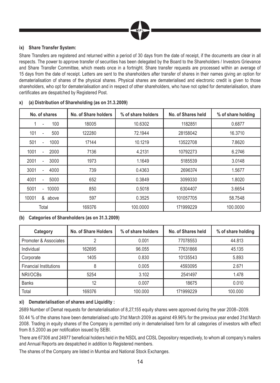

# **ix) Share Transfer System:**

Share Transfers are registered and returned within a period of 30 days from the date of receipt, if the documents are clear in all respects. The power to approve transfer of securities has been delegated by the Board to the Shareholders / Investors Grievance and Share Transfer Committee, which meets once in a fortnight. Share transfer requests are processed within an average of 15 days from the date of receipt. Letters are sent to the shareholders after transfer of shares in their names giving an option for dematerialisation of shares of the physical shares. Physical shares are dematerialised and electronic credit is given to those shareholders, who opt for dematerialisation and in respect of other shareholders, who have not opted for dematerialisation, share certificates are despatched by Registered Post.

| No. of shares           | No. of Share holders | % of share holders | No. of Shares held | % of share holding |
|-------------------------|----------------------|--------------------|--------------------|--------------------|
| 100                     | 18005                | 10.6302            | 1182851            | 0.6877             |
| 101<br>500<br>÷         | 122280               | 72.1944            | 28158042           | 16.3710            |
| 501<br>1000             | 17144                | 10.1219            | 13522708           | 7.8620             |
| 1001<br>2000            | 7136                 | 4.2131             | 10792273           | 6.2746             |
| 2001<br>3000            | 1973                 | 1.1649             | 5185539            | 3.0148             |
| 3001<br>4000            | 739                  | 0.4363             | 2696374            | 1.5677             |
| 4001<br>5000            | 652                  | 0.3849             | 3099330            | 1.8020             |
| 5001<br>10000<br>$\sim$ | 850                  | 0.5018             | 6304407            | 3.6654             |
| 10001<br>&<br>above     | 597                  | 0.3525             | 101057705          | 58.7548            |
| Total                   | 169376               | 100.0000           | 171999229          | 100.0000           |

# **x) (a) Distribution of Shareholding (as on 31.3.2009)**

**(b) Categories of Shareholders (as on 31.3.2009)**

| Category                      | No. of Share Holders | % of share holders | No. of Shares held | % of share holding |
|-------------------------------|----------------------|--------------------|--------------------|--------------------|
| Promoter & Associates         |                      | 0.001              | 77078553           | 44.813             |
| Individual                    | 162695               | 96.055             | 77631866           | 45.135             |
| Corporate                     | 1405                 | 0.830              | 10135543           | 5.893              |
| <b>Financial Institutions</b> | 8                    | 0.005              | 4593095            | 2.671              |
| NRI/OCBs                      | 5254                 | 3.102              | 2541497            | 1.478              |
| <b>Banks</b>                  | 12                   | 0.007              | 18675              | 0.010              |
| Total                         | 169376               | 100.000            | 171999229          | 100.000            |

# **xi) Dematerialisation of shares and Liquidity :**

2689 Number of Demat requests for dematerialisation of 8,27,155 equity shares were approved during the year 2008–2009.

50.44 % of the shares have been dematerialised upto 31st March 2009 as against 49.96% for the previous year ended 31st March 2008. Trading in equity shares of the Company is permitted only in dematerialised form for all categories of investors with effect from 8.5.2000 as per notification issued by SEBI.

There are 67306 and 24977 beneficial holders held in the NSDL and CDSL Depository respectively, to whom all company's mailers and Annual Reports are despatched in addition to Registered members.

The shares of the Company are listed in Mumbai and National Stock Exchanges.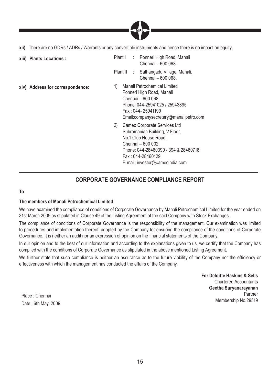

**xii)** There are no GDRs / ADRs / Warrants or any convertible instruments and hence there is no impact on equity.

| xiii) Plants Locations :         | : Ponneri High Road, Manali<br>Plant I<br>Chennai - 600 068.                                                                                                                                                        |
|----------------------------------|---------------------------------------------------------------------------------------------------------------------------------------------------------------------------------------------------------------------|
|                                  | Plant II : Sathangadu Village, Manali,<br>Chennai - 600 068.                                                                                                                                                        |
| xiv) Address for correspondence: | Manali Petrochemical Limited<br>1)<br>Ponneri High Road, Manali<br>Chennai - 600 068.<br>Phone: 044-25941025 / 25943895<br>Fax: 044-25941199<br>Email:companysecretary@manalipetro.com                              |
|                                  | 2)<br>Cameo Corporate Services Ltd<br>Subramanian Building, V Floor,<br>No.1 Club House Road.<br>Chennai – 600 002.<br>Phone: 044-28460390 - 394 & 28460718<br>Fax: 044-28460129<br>E-mail: investor@cameoindia.com |

# **CORPORATE GOVERNANCE COMPLIANCE REPORT**

# **To**

# **The members of Manali Petrochemical Limited**

We have examined the compliance of conditions of Corporate Governance by Manali Petrochemical Limited for the year ended on 31st March 2009 as stipulated in Clause 49 of the Listing Agreement of the said Company with Stock Exchanges.

The compliance of conditions of Corporate Governance is the responsibility of the management. Our examination was limited to procedures and implementation thereof, adopted by the Company for ensuring the compliance of the conditions of Corporate Governance. It is neither an audit nor an expression of opinion on the financial statements of the Company.

In our opinion and to the best of our information and according to the explanations given to us, we certify that the Company has complied with the conditions of Corporate Governance as stipulated in the above mentioned Listing Agreement.

We further state that such compliance is neither an assurance as to the future viability of the Company nor the efficiency or effectiveness with which the management has conducted the affairs of the Company.

> **For Deloitte Haskins & Sells** Chartered Accountants **Geetha Suryanarayanan** Partner Membership No.29519

Place : Chennai Date : 6th May, 2009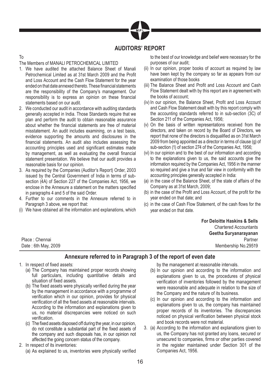

# **AUDITORS' REPORT**

# To

# The Members of MANALI PETROCHEMICAL LIMITED

- 1. We have audited the attached Balance Sheet of Manali Petrochemical Limited as at 31st March 2009 and the Profit and Loss Account and the Cash Flow Statement for the year ended on that date annexed thereto. These financial statements are the responsibility of the Company's management. Our responsibility is to express an opinion on these financial statements based on our audit.
- 2. We conducted our audit in accordance with auditing standards generally accepted in India. Those Standards require that we plan and perform the audit to obtain reasonable assurance about whether the financial statements are free of material misstatement. An audit includes examining, on a test basis, evidence supporting the amounts and disclosures in the financial statements. An audit also includes assessing the accounting principles used and significant estimates made by management, as well as evaluating the overall financial statement presentation. We believe that our audit provides a reasonable basis for our opinion.
- 3. As required by the Companies (Auditor's Report) Order, 2003 issued by the Central Government of India in terms of subsection (4A) of Section 227 of the Companies Act, 1956, we enclose in the Annexure a statement on the matters specified in paragraphs 4 and 5 of the said Order.
- 4. Further to our comments in the Annexure referred to in Paragraph 3 above, we report that:
- (i) We have obtained all the information and explanations, which

to the best of our knowledge and belief were necessary for the purposes of our audit;

- (ii) In our opinion, proper books of account as required by law have been kept by the company so far as appears from our examination of those books
- (iii) The Balance Sheet and Profit and Loss Account and Cash Flow Statement dealt with by this report are in agreement with the books of account;
- (iv) In our opinion, the Balance Sheet, Profit and Loss Account and Cash Flow Statement dealt with by this report comply with the accounting standards referred to in sub-section (3C) of Section 211 of the Companies Act, 1956;
- (v) On the basis of written representations received from the directors, and taken on record by the Board of Directors, we report that none of the directors is disqualified as on 31st March 2009 from being appointed as a director in terms of clause (g) of sub-section (1) of section 274 of the Companies Act, 1956;
- (vi) In our opinion and to the best of our information and according to the explanations given to us, the said accounts give the information required by the Companies Act, 1956 in the manner so required and give a true and fair view in conformity with the accounting principles generally accepted in India:
- (a) in the case of the Balance Sheet, of the state of affairs of the Company as at 31st March, 2009;
- (b) in the case of the Profit and Loss Account, of the profit for the year ended on that date; and
- (c) in the case of Cash Flow Statement, of the cash flows for the year ended on that date.

**For Deloitte Haskins & Sells** Chartered Accountants **Geetha Suryanarayanan** Partner Membership No.29519

Place : Chennai Date : 6th May, 2009

# **Annexure referred to in Paragraph 3 of the report of even date**

# 1. In respect of fixed assets:

- (a) The Company has maintained proper records showing full particulars, including quantitative details and situation of fixed assets.
- (b) The fixed assets were physically verified during the year by the management in accordance with a programme of verification which in our opinion, provides for physical verification of all the fixed assets at reasonable intervals. According to the information and explanations given to us, no material discrepancies were noticed on such verification.
- (c) The fixed assets disposed off during the year, in our opinion, do not constitute a substantial part of the fixed assets of the company and such disposals has, in our opinion not affected the going concern status of the company.
- 2. In respect of its inventories:
	- (a) As explained to us, inventories were physically verified

by the management at reasonable intervals.

- (b) In our opinion and according to the information and explanations given to us, the procedures of physical verification of inventories followed by the management were reasonable and adequate in relation to the size of the Company and the nature of its business.
- (c) In our opinion and according to the information and explanations given to us, the company has maintained proper records of its inventories. The discrepancies noticed on physical verification between physical stock and book records were not material.
- 3. (a) According to the information and explanations given to us, the Company has not granted any loans, secured or unsecured to companies, firms or other parties covered in the register maintained under Section 301 of the Companies Act, 1956.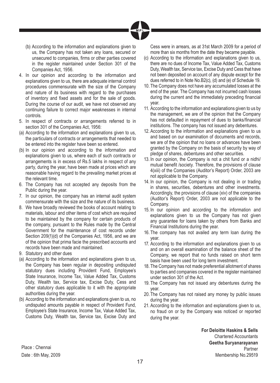

- (b) According to the information and explanations given to us, the Company has not taken any loans, secured or unsecured to companies, firms or other parties covered in the register maintained under Section 301 of the Companies Act, 1956.
- 4. In our opinion and according to the information and explanations given to us, there are adequate internal control procedures commensurate with the size of the Company and nature of its business with regard to the purchases of inventory and fixed assets and for the sale of goods. During the course of our audit, we have not observed any continuing failure to correct major weaknesses in internal controls.
- 5. In respect of contracts or arrangements referred to in section 301 of the Companies Act, 1956:
- (a) According to the information and explanations given to us, the particulars of contracts or arrangements that needed to be entered into the register have been so entered.
- (b) In our opinion and according to the information and explanations given to us, where each of such contracts or arrangements is in excess of Rs.5 lakhs in respect of any party, during the year, have been made at prices which are reasonable having regard to the prevailing market prices at the relevant time.
- 6. The Company has not accepted any deposits from the Public during the year.
- 7. In our opinion, the company has an internal audit system commensurate with the size and the nature of its business.
- 8. We have broadly reviewed the books of account relating to materials, labour and other items of cost which are required to be maintained by the company for certain products of the company, pursuant to the Rules made by the Central Government for the maintenance of cost records under Section 209(1)(d) of the Companies Act, 1956, and we are of the opinion that prima facie the prescribed accounts and records have been made and maintained.
- 9. Statutory and other dues
- (a) According to the information and explanations given to us, the Company has been regular in depositing undisputed statutory dues including Provident Fund, Employee's State Insurance, Income Tax, Value Added Tax, Customs Duty, Wealth tax, Service tax, Excise Duty, Cess and other statutory dues applicable to it with the appropriate authorities during the year.
- (b) According to the information and explanations given to us, no undisputed amounts payable in respect of Provident Fund, Employee's State Insurance, Income Tax, Value Added Tax, Customs Duty, Wealth tax, Service tax, Excise Duty and

Cess were in arrears, as at 31st March 2009 for a period of more than six months from the date they became payable.

- (c) According to the information and explanations given to us, there are no dues of Income Tax, Value Added Tax, Customs Duty, Wealth tax, Service tax, Excise Duty and Cess that have not been deposited on account of any dispute except for the dues referred to in Note No.B2(c), (d) and (e) of Schedule 19.
- 10. The Company does not have any accumulated losses at the end of the year. The Company has not incurred cash losses during the current and the immediately preceding financial year.
- 11. According to the information and explanations given to us by the management, we are of the opinion that the Company has not defaulted in repayment of dues to banks/financial institutions. The company has not issued any debentures.
- 12. According to the information and explanations given to us and based on our examination of documents and records, we are of the opinion that no loans or advances have been granted by the Company on the basis of security by way of pledge of shares, debentures and other securities.
- 13. In our opinion, the Company is not a chit fund or a nidhi/ mutual benefit /society. Therefore, the provisions of clause 4(xiii) of the Companies (Auditor's Report) Order, 2003 are not applicable to the Company.
- 14. In our opinion, the Company is not dealing in or trading in shares, securities, debentures and other investments. Accordingly, the provisions of clause (xiv) of the companies (Auditor's Report) Order, 2003 are not applicable to the Company.
- 15. In our opinion and according to the information and explanations given to us the Company has not given any guarantee for loans taken by others from Banks and Financial Institutions during the year.
- 16. The company has not availed any term loan during the year.
- 17. According to the information and explanations given to us and on an overall examination of the balance sheet of the Company, we report that no funds raised on short term basis have been used for long term investment.
- 18. The Company has not made preferential allotment of shares to parties and companies covered in the register maintained under section 301 of the Act.
- 19. The Company has not issued any debentures during the year.
- 20. The Company has not raised any money by public issues during the year.
- 21. According to the information and explanations given to us, no fraud on or by the Company was noticed or reported during the year.

**For Deloitte Haskins & Sells** Chartered Accountants **Geetha Suryanarayanan** Partner Membership No.29519

Place : Chennai Date : 6th May, 2009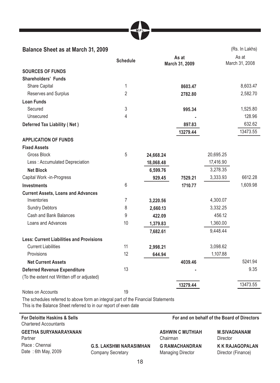| MP <sup></sup> |  |
|----------------|--|
|                |  |

| <b>Balance Sheet as at March 31, 2009</b>       |                 |           |                         |           | (Rs. In Lakhs)          |
|-------------------------------------------------|-----------------|-----------|-------------------------|-----------|-------------------------|
|                                                 | <b>Schedule</b> |           | As at<br>March 31, 2009 |           | As at<br>March 31, 2008 |
| <b>SOURCES OF FUNDS</b>                         |                 |           |                         |           |                         |
| <b>Shareholders' Funds</b>                      |                 |           |                         |           |                         |
| Share Capital                                   | 1               |           | 8603.47                 |           | 8,603.47                |
| Reserves and Surplus                            | 2               |           | 2782.80                 |           | 2,582.70                |
| <b>Loan Funds</b>                               |                 |           |                         |           |                         |
| Secured                                         | 3               |           | 995.34                  |           | 1,525.80                |
| Unsecured                                       | 4               |           |                         |           | 128.96                  |
| <b>Deferred Tax Liability (Net)</b>             |                 |           | 897.83                  |           | 632.62                  |
|                                                 |                 |           | 13279.44                |           | 13473.55                |
| <b>APPLICATION OF FUNDS</b>                     |                 |           |                         |           |                         |
| <b>Fixed Assets</b>                             |                 |           |                         |           |                         |
| <b>Gross Block</b>                              | 5               | 24,668.24 |                         | 20,695.25 |                         |
| Less: Accumulated Depreciation                  |                 | 18,068.48 |                         | 17,416.90 |                         |
| <b>Net Block</b>                                |                 | 6,599.76  |                         | 3,278.35  |                         |
| Capital Work -in-Progress                       |                 | 929.45    | 7529.21                 | 3,333.93  | 6612.28                 |
| <b>Investments</b>                              | 6               |           | 1710.77                 |           | 1,609.98                |
| <b>Current Assets, Loans and Advances</b>       |                 |           |                         |           |                         |
| Inventories                                     | 7               | 3,220.56  |                         | 4,300.07  |                         |
| <b>Sundry Debtors</b>                           | 8               | 2,660.13  |                         | 3,332.25  |                         |
| Cash and Bank Balances                          | 9               | 422.09    |                         | 456.12    |                         |
| Loans and Advances                              | 10              | 1,379.83  |                         | 1,360.00  |                         |
|                                                 |                 | 7,682.61  |                         | 9,448.44  |                         |
| <b>Less: Current Liabilities and Provisions</b> |                 |           |                         |           |                         |
| <b>Current Liabilities</b>                      | 11              | 2,998.21  |                         | 3,098.62  |                         |
| Provisions                                      | 12              | 644.94    |                         | 1,107.88  |                         |
| <b>Net Current Assets</b>                       |                 |           | 4039.46                 |           | 5241.94                 |
| <b>Deferred Revenue Expenditure</b>             | 13              |           |                         |           | 9.35                    |
| (To the extent not Written off or adjusted)     |                 |           |                         |           |                         |
|                                                 |                 |           | 13279.44                |           | 13473.55                |
| Notes on Accounts                               | 19              |           |                         |           |                         |

The schedules referred to above form an integral part of the Financial Statements This is the Balance Sheet referred to in our report of even date

### **For Deloitte Haskins & Sells** Chartered Accountants

**GEETHA SURYANARAYANAN** Partner Place : Chennai Date : 6th May, 2009

**G.S. LAKSHMI NARASIMHAN** Company Secretary

 **For and on behalf of the Board of Directors**

| <b>ASHWIN C MUTHIAH</b>  | <b>M.SIVAGNANAM</b>    |
|--------------------------|------------------------|
| Chairman                 | Director               |
| <b>G RAMACHANDRAN</b>    | <b>K K RAJAGOPALAN</b> |
| <b>Managing Director</b> | Director (Finance)     |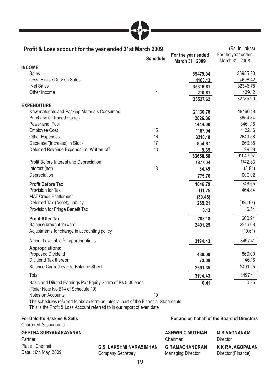

| Profit & Loss account for the year ended 31st March 2009                                                                                                      | <b>Schedule</b> | For the year ended<br>March 31, 2009 | (Rs. In Lakhs)<br>For the year ended<br>March 31, 2008 |
|---------------------------------------------------------------------------------------------------------------------------------------------------------------|-----------------|--------------------------------------|--------------------------------------------------------|
| <b>INCOME</b>                                                                                                                                                 |                 |                                      |                                                        |
| Sales                                                                                                                                                         |                 | 39479.94                             | 36955.20                                               |
| Less: Excise Duty on Sales                                                                                                                                    |                 | 4163.13                              | 4608.42                                                |
| <b>Net Sales</b>                                                                                                                                              |                 | 35316.81                             | 32346.78                                               |
| Other Income                                                                                                                                                  | 14              | 210.81                               | 439.12                                                 |
|                                                                                                                                                               |                 | 35527.62                             | 32785.90                                               |
| <b>EXPENDITURE</b>                                                                                                                                            |                 |                                      |                                                        |
| Raw materials and Packing Materials Consumed                                                                                                                  |                 | 21130.78                             | 19466.18                                               |
| <b>Purchase of Traded Goods</b>                                                                                                                               |                 | 2826.36                              | 3654.34                                                |
| Power and Fuel                                                                                                                                                |                 | 4444.00                              | 3461.18                                                |
| <b>Employee Cost</b>                                                                                                                                          | 15              | 1167.04                              | 1122.16                                                |
| <b>Other Expenses</b>                                                                                                                                         | 16              | 3218.18                              | 2649.58                                                |
| Decrease/(Increase) in Stock                                                                                                                                  | 17              | 854.87                               | 660.35                                                 |
| Deferred Revenue Expenditure Written-off                                                                                                                      | 13              | 9.35                                 | 29.28                                                  |
|                                                                                                                                                               |                 | 33650.58                             | 31043.07                                               |
| Profit Before Interest and Depreciation                                                                                                                       |                 | 1877.04                              | 1742.83                                                |
| Interest (net)                                                                                                                                                | 18              | 54.49                                | (3.84)                                                 |
| Depreciation                                                                                                                                                  |                 | 775.76                               | 1000.02                                                |
| <b>Profit Before Tax</b>                                                                                                                                      |                 | 1046.79                              | 746.65                                                 |
| Provision for Tax                                                                                                                                             |                 | 111.75                               | 464.84                                                 |
| <b>MAT Credit Entitlement</b>                                                                                                                                 |                 | (39.48)                              |                                                        |
| Deferred Tax (Asset)/Liability                                                                                                                                |                 | 265.21                               | (325.67)                                               |
| Provision for Fringe Benefit Tax                                                                                                                              |                 | 6.13                                 | 6.54                                                   |
| <b>Profit After Tax</b>                                                                                                                                       |                 | 703.18                               | 600.94                                                 |
| Balance brought forward                                                                                                                                       |                 | 2491.25                              | 2916.08                                                |
| Adjustments for change in accounting policy                                                                                                                   |                 |                                      | (19.61)                                                |
| Amount available for appropriations                                                                                                                           |                 | 3194.43                              | 3497.41                                                |
| Appropriations:                                                                                                                                               |                 |                                      |                                                        |
| Proposed Dividend                                                                                                                                             |                 | 430.00                               | 860.00                                                 |
| Dividend Tax thereon                                                                                                                                          |                 | 73.08                                | 146.16                                                 |
| Balance Carried over to Balance Sheet                                                                                                                         |                 | 2691.35                              | 2491.25                                                |
| Total                                                                                                                                                         |                 | 3194.43                              | 3497.41                                                |
| Basic and Diluted Earnings Per Equity Share of Rs.5.00 each                                                                                                   |                 | 0.41                                 | 0.35                                                   |
| (Refer Note No.B14 of Schedule 19)                                                                                                                            |                 |                                      |                                                        |
| Notes on Accounts                                                                                                                                             | 19              |                                      |                                                        |
| The schedules referred to above form an integral part of the Financial Statements<br>This is the Profit & Loss Account referred to in our report of even date |                 |                                      |                                                        |

#### **For Deloitte Haskins & Sells** Chartered Accountants  **For and on behalf of the Board of Directors GEETHA SURYANARAYANAN** Partner **ASHWIN C MUTHIAH** Chairman **M.SIVAGNANAM**  Director Place : Chennai Date: 6th May, 2009 **G.S. LAKSHMI NARASIMHAN** Company Secretary **G RAMACHANDRAN** Managing Director **K K RAJAGOPALAN** Director (Finance)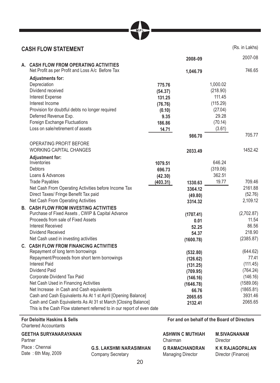| <b>CASH FLOW STATEMENT</b>                                   |          |           |          | (Rs. in Lakhs) |
|--------------------------------------------------------------|----------|-----------|----------|----------------|
|                                                              |          | 2008-09   |          | 2007-08        |
| A. CASH FLOW FROM OPERATING ACTIVITIES                       |          |           |          |                |
| Net Profit as per Profit and Loss A/c Before Tax             |          | 1,046.79  |          | 746.65         |
| <b>Adjustments for:</b>                                      |          |           |          |                |
| Depreciation                                                 | 775.76   |           | 1,000.02 |                |
| Dividend received                                            | (54.37)  |           | (218.90) |                |
| Interest Expense                                             | 131.25   |           | 111.45   |                |
| Interest Income                                              | (76.76)  |           | (115.29) |                |
| Provision for doubtful debts no longer required              | (0.10)   |           | (27.04)  |                |
| Deferred Revenue Exp.                                        | 9.35     |           | 29.28    |                |
| Foreign Exchange Fluctuations                                | 186.86   |           | (70.14)  |                |
| Loss on sale/retirement of assets                            | 14.71    |           | (3.61)   |                |
|                                                              |          | 986.70    |          | 705.77         |
| OPERATING PROFIT BEFORE                                      |          |           |          |                |
| <b>WORKING CAPITAL CHANGES</b>                               |          | 2033.49   |          | 1452.42        |
| <b>Adjustment for:</b>                                       |          |           |          |                |
| Inventories                                                  | 1079.51  |           | 646.24   |                |
| Debtors                                                      | 696.73   |           | (319.06) |                |
| Loans & Advances                                             | (42.30)  |           | 362.51   |                |
| <b>Trade Payables</b>                                        | (403.31) | 1330.63   | 19.77    | 709.46         |
| Net Cash From Operating Activities before Income Tax         |          | 3364.12   |          | 2161.88        |
| Direct Taxes/ Fringe Benefit Tax paid                        |          | (49.80)   |          | (52.76)        |
| Net Cash From Operating Activities                           |          | 3314.32   |          | 2,109.12       |
| <b>B. CASH FLOW FROM INVESTING ACTIVITIES</b>                |          |           |          |                |
| Purchase of Fixed Assets, CWIP & Capital Advance             |          | (1707.41) |          | (2,702.87)     |
| Proceeds from sale of Fixed Assets                           |          | 0.01      |          | 11.54          |
| <b>Interest Received</b>                                     |          | 52.25     |          | 86.56          |
| Dividend Received                                            |          | 54.37     |          | 218.90         |
| Net Cash used in investing activities                        |          | (1600.78) |          | (2385.87)      |
| C. CASH FLOW FROM FINANCING ACTIVITIES                       |          |           |          |                |
| Repayment of long term borrowings                            |          | (532.80)  |          | (644.62)       |
| Repayment/Proceeds from short term borrowings                |          | (126.62)  |          | 77.41          |
| <b>Interest Paid</b>                                         |          | (131.25)  |          | (111.45)       |
| Dividend Paid                                                |          | (709.95)  |          | (764.24)       |
| Corporate Dividend Tax Paid                                  |          | (146.16)  |          | (146.16)       |
| Net Cash Used in Financing Activities                        |          | (1646.78) |          | (1589.06)      |
| Net Increase in Cash and Cash equivalents                    |          | 66.76     |          | (1865.81)      |
| Cash and Cash Equivalents As At 1 st April [Opening Balance] |          | 2065.65   |          | 3931.46        |

 Cash and Cash Equivalents As At 31 st March [Closing Balance] **2132.41** 2065.65 This is the Cash Flow statement referred to in our report of even date

# **For Deloitte Haskins & Sells** Chartered Accountants

# **GEETHA SURYANARAYANAN**

Partner Place : Chennai Date : 6th May, 2009

**G.S. LAKSHMI NARASIMHAN** Company Secretary

 **For and on behalf of the Board of Directors**

| <b>ASHWIN C MUTHIAH</b>  | <b>M.SIVAGNANAM</b>    |
|--------------------------|------------------------|
| Chairman                 | Director               |
| <b>G RAMACHANDRAN</b>    | <b>K K RAJAGOPALAN</b> |
| <b>Managing Director</b> | Director (Finance)     |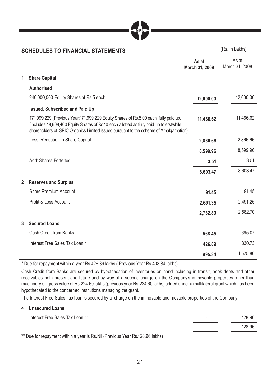

# **SCHEDULES TO FINANCIAL STATEMENTS** (Rs. In Lakhs)

|   |                                                                                                                                                                                                                                                                        | As at<br>March 31, 2009 | As at<br>March 31, 2008 |
|---|------------------------------------------------------------------------------------------------------------------------------------------------------------------------------------------------------------------------------------------------------------------------|-------------------------|-------------------------|
| 1 | <b>Share Capital</b>                                                                                                                                                                                                                                                   |                         |                         |
|   | <b>Authorised</b>                                                                                                                                                                                                                                                      |                         |                         |
|   | 240,000,000 Equity Shares of Rs.5 each.                                                                                                                                                                                                                                | 12,000.00               | 12,000.00               |
|   | <b>Issued, Subscribed and Paid Up</b>                                                                                                                                                                                                                                  |                         |                         |
|   | 171,999,229 (Previous Year:171,999,229 Equity Shares of Rs.5.00 each fully paid up.<br>(includes 48,608,400 Equity Shares of Rs.10 each allotted as fully paid-up to erstwhile<br>shareholders of SPIC Organics Limited issued pursuant to the scheme of Amalgamation) | 11,466.62               | 11,466.62               |
|   | Less: Reduction in Share Capital                                                                                                                                                                                                                                       | 2,866.66                | 2,866.66                |
|   |                                                                                                                                                                                                                                                                        | 8,599.96                | 8,599.96                |
|   | Add: Shares Forfeited                                                                                                                                                                                                                                                  | 3.51                    | 3.51                    |
|   |                                                                                                                                                                                                                                                                        | 8,603.47                | 8,603.47                |
| 2 | <b>Reserves and Surplus</b>                                                                                                                                                                                                                                            |                         |                         |
|   | Share Premium Account                                                                                                                                                                                                                                                  | 91.45                   | 91.45                   |
|   | Profit & Loss Account                                                                                                                                                                                                                                                  | 2,691.35                | 2,491.25                |
|   |                                                                                                                                                                                                                                                                        | 2,782.80                | 2,582.70                |
| 3 | <b>Secured Loans</b>                                                                                                                                                                                                                                                   |                         |                         |
|   | Cash Credit from Banks                                                                                                                                                                                                                                                 | 568.45                  | 695.07                  |
|   | Interest Free Sales Tax Loan *                                                                                                                                                                                                                                         | 426.89                  | 830.73                  |
|   |                                                                                                                                                                                                                                                                        | 995.34                  | 1,525.80                |

\* Due for repayment within a year Rs.426.89 lakhs ( Previous Year Rs.403.84 lakhs)

Cash Credit from Banks are secured by hypothecation of inventories on hand including in transit, book debts and other receivables both present and future and by way of a second charge on the Company's immovable properties other than machinery of gross value of Rs.224.60 lakhs (previous year Rs.224.60 lakhs) added under a multilateral grant which has been hypothecated to the concerned institutions managing the grant.

The Interest Free Sales Tax loan is secured by a charge on the immovable and movable properties of the Company.

| 4 Unsecured Loans                                                                      |   |        |
|----------------------------------------------------------------------------------------|---|--------|
| Interest Free Sales Tax Loan **                                                        | - | 128.96 |
|                                                                                        | - | 128.96 |
| <b>**</b> Designations of the second of the De Mill (December 17 and De 400,00 follow) |   |        |

Due for repayment within a year is Rs.Nil (Previous Year Rs.128.96 lakhs)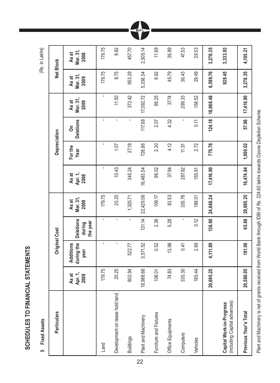**SCHEDULES TO FINANCIAL STATEMENTS**  SCHEDULES TO FINANCIAL STATEMENTS

 **5 Fixed Assets** (Rs. in Lakhs) 5 Fixed Assets

| ٠ |
|---|

| Particulars                                              |                          | <b>Original Cost</b>            |                                        |                           |                          | Depreciation    |                       |                           | Net Block                 |                           |
|----------------------------------------------------------|--------------------------|---------------------------------|----------------------------------------|---------------------------|--------------------------|-----------------|-----------------------|---------------------------|---------------------------|---------------------------|
|                                                          | Apr. 1,<br>As at<br>2008 | during the<br>Additions<br>year | <b>Deletions</b><br>the year<br>during | Mar. 31,<br>As at<br>2009 | Apr. 1,<br>As at<br>2008 | For the<br>Year | <b>Deletions</b><br>å | Mar. 31,<br>As at<br>2009 | Mar. 31,<br>As at<br>2009 | Mar. 31,<br>As at<br>2008 |
| Land                                                     | 179.75                   | ٠                               | r.                                     | 179.75                    | ٠                        |                 | ٠                     |                           | 179.75                    | 179.75                    |
| Development on lease hold land                           | 20.25                    |                                 | Î.                                     | 20.25                     | 10.43                    | 1.07            | $\blacksquare$        | 11.50                     | 8.75                      | 9.82                      |
| <b>Buildings</b>                                         | 802.94                   | 522.77                          | ×,                                     | 1,325.71                  | 345.24                   | 27.18           | ٠                     | 372.42                    | 953.29                    | 457.70                    |
| Plant and Machinery                                      | 18,988.68                | 3,571.52                        | 131.14                                 | 22,429.06                 | 16,483.54                | 726.86          | 117.68                | 17,092.72                 | 5,336.34                  | 2,505.14                  |
| Furniture and Fixtures                                   | 108.01                   | 0.52                            | 2.36                                   | 106.17                    | 96.02                    | 2.30            | 2.07                  | 96.25                     | 9.92                      | 11.99                     |
| Office Equipments                                        | 74.83                    | 13.98                           | 5.28                                   | 83.53                     | 37.94                    | 4.12            | 4.32                  | 37.74                     | 45.79                     | 36.89                     |
| Computers                                                | 335.35                   | 0.41                            | ı                                      | 335.76                    | 287.82                   | 11.51           | ı                     | 299.33                    | 36.43                     | 47.53                     |
| Vehicles                                                 | 185.44                   | 2.69                            | 0.12                                   | 188.01                    | 155.91                   | 2.72            | 0.11                  | 158.52                    | 29.49                     | 29.53                     |
|                                                          | 20,695.25                | 4,111.89                        | 138.90                                 | 24,668.24                 | 17,416.90                | 775.76          | 124.18                | 18,068.48                 | 6,599.76                  | 3,278.35                  |
| (including Capital advances)<br>Capital Work-in-Progress |                          |                                 |                                        |                           |                          |                 |                       |                           | 929.45                    | 3,333.93                  |
| Previous Year's Total                                    | 20,580.05                | 181.08                          | 65.88                                  | 20,695.25                 | 16,474.84                | 1,000.02        | 57.96                 | 17,416.90                 | 3,278.35                  | 4,105.21                  |

MPL

Plant and Machinery is net of grants received from World Bank through IDBI of Rs. 224.60 lakhs towards Ozone Depletion Scheme. Plant and Machinery is net of grants received from World Bank through IDBI of Rs. 224.60 lakhs towards Ozone Depletion Scheme.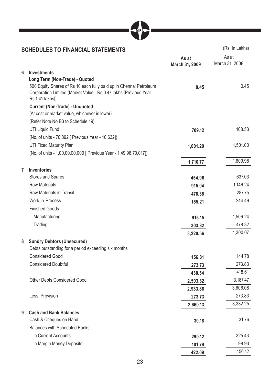

# **SCHEDULES TO FINANCIAL STATEMENTS** (Rs. In Lakhs)

**Contract Contract** 

|   |                                                                                                                                                           | As at<br>March 31, 2009 | As at<br>March 31, 2008 |
|---|-----------------------------------------------------------------------------------------------------------------------------------------------------------|-------------------------|-------------------------|
| 6 | <b>Investments</b>                                                                                                                                        |                         |                         |
|   | Long Term (Non-Trade) - Quoted                                                                                                                            |                         |                         |
|   | 500 Equity Shares of Rs 10 each fully paid up in Chennai Petroleum<br>Corporation Limited (Market Value - Rs.0.47 lakhs [Previous Year<br>Rs.1.41 lakhs]) | 0.45                    | 0.45                    |
|   | <b>Current (Non-Trade) - Unquoted</b><br>(At cost or market value, whichever is lower)                                                                    |                         |                         |
|   | (Refer Note No.B3 to Schedule 19)                                                                                                                         |                         |                         |
|   | UTI Liquid Fund                                                                                                                                           | 709.12                  | 108.53                  |
|   | (No. of units - 70,892 [ Previous Year - 10,632])                                                                                                         |                         |                         |
|   | UTI Fixed Maturity Plan                                                                                                                                   | 1,001.20                | 1,501.00                |
|   | (No. of units - 1,00,00,00,000 [ Previous Year - 1,49,98,70,017])                                                                                         |                         |                         |
|   |                                                                                                                                                           | 1,710.77                | 1,609.98                |
| 7 | <b>Inventories</b>                                                                                                                                        |                         |                         |
|   | Stores and Spares                                                                                                                                         | 454.96                  | 637.03                  |
|   | <b>Raw Materials</b>                                                                                                                                      | 915.04                  | 1,146.24                |
|   | Raw Materials in Transit                                                                                                                                  | 476.38                  | 287.75                  |
|   | Work-in-Process                                                                                                                                           | 155.21                  | 244.49                  |
|   | <b>Finished Goods</b>                                                                                                                                     |                         |                         |
|   | -- Manufacturing                                                                                                                                          | 915.15                  | 1,506.24                |
|   | -- Trading                                                                                                                                                | 303.82                  | 478.32                  |
|   |                                                                                                                                                           | 3,220.56                | 4,300.07                |
| 8 | <b>Sundry Debtors (Unsecured)</b>                                                                                                                         |                         |                         |
|   | Debts outstanding for a period exceeding six months                                                                                                       |                         |                         |
|   | <b>Considered Good</b>                                                                                                                                    | 156.81                  | 144.78                  |
|   | <b>Considered Doubtful</b>                                                                                                                                | 273.73                  | 273.83                  |
|   |                                                                                                                                                           | 430.54                  | 418.61                  |
|   | <b>Other Debts Considered Good</b>                                                                                                                        | 2,503.32                | 3,187.47                |
|   |                                                                                                                                                           | 2,933.86                | 3,606.08                |
|   | Less: Provision                                                                                                                                           | 273.73                  | 273.83                  |
|   |                                                                                                                                                           | 2,660.13                | 3,332.25                |
| 9 | <b>Cash and Bank Balances</b>                                                                                                                             |                         |                         |
|   | Cash & Cheques on Hand                                                                                                                                    | 30.18                   | 31.76                   |
|   | <b>Balances with Scheduled Banks:</b>                                                                                                                     |                         |                         |
|   | -- in Current Accounts                                                                                                                                    | 290.12                  | 325.43                  |
|   | -- in Margin Money Deposits                                                                                                                               | 101.79                  | 98.93                   |
|   |                                                                                                                                                           | 422.09                  | 456.12                  |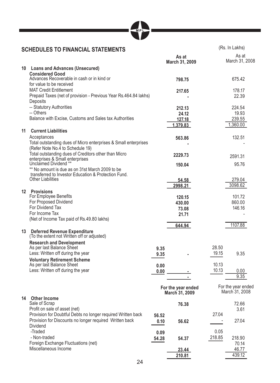| MPI |  |
|-----|--|
|-----|--|

٦

# **SCHEDULES TO FINANCIAL STATEMENTS** (Rs. In Lakhs)

|    |                                                                                                                  |              | As at<br>March 31, 2009              |        | As at<br>March 31, 2008              |
|----|------------------------------------------------------------------------------------------------------------------|--------------|--------------------------------------|--------|--------------------------------------|
| 10 | <b>Loans and Advances (Unsecured)</b>                                                                            |              |                                      |        |                                      |
|    | <b>Considered Good</b><br>Advances Recoverable in cash or in kind or<br>for value to be received                 |              | 798.75                               |        | 675.42                               |
|    | <b>MAT Credit Entitlement</b>                                                                                    |              | 217.65                               |        | 178.17                               |
|    | Prepaid Taxes (net of provision - Previous Year Rs.464.84 lakhs)<br>Deposits                                     |              |                                      |        | 22.39                                |
|    | -- Statutory Authorities                                                                                         |              | 212.13                               |        | 224.54                               |
|    | -- Others                                                                                                        |              | 24.12                                |        | 19.93                                |
|    | Balance with Excise, Customs and Sales tax Authorities                                                           |              | 127.18                               |        | 239.55                               |
|    |                                                                                                                  |              | 1,379.83                             |        | 1,360.00                             |
| 11 | <b>Current Liabilities</b>                                                                                       |              |                                      |        |                                      |
|    | Acceptances                                                                                                      |              | 563.86                               |        | 132.51                               |
|    | Total outstanding dues of Micro enterprises & Small enterprises<br>(Refer Note No.4 to Schedule 19)              |              |                                      |        |                                      |
|    | Total outstanding dues of Creditors other than Micro<br>enterprises & Small enterprises<br>Unclaimed Dividend ** |              | 2229.73                              |        | 2591.31                              |
|    | ** No amount is due as on 31st March 2009 to be                                                                  |              | 150.04                               |        | 95.76                                |
|    | transferred to Investor Education & Protection Fund.<br>Other Liabilities                                        |              | 54.58                                |        | 279.04                               |
|    |                                                                                                                  |              | 2998.21                              |        | 3098.62                              |
|    | 12 Provisions                                                                                                    |              |                                      |        |                                      |
|    | For Employee Benefits                                                                                            |              | 120.15                               |        | 101.72                               |
|    | For Proposed Dividend                                                                                            |              | 430.00                               |        | 860.00                               |
|    | For Dividend Tax<br>For Income Tax                                                                               |              | 73.08                                |        | 146.16                               |
|    | (Net of Income Tax paid of Rs.49.80 lakhs)                                                                       |              | 21.71                                |        |                                      |
|    |                                                                                                                  |              | 644.94                               |        | 1107.88                              |
|    | 13 Deferred Revenue Expenditure<br>(To the extent not Written off or adjusted)                                   |              |                                      |        |                                      |
|    | <b>Research and Development</b>                                                                                  |              |                                      |        |                                      |
|    | As per last Balance Sheet                                                                                        | 9.35         |                                      | 28.50  |                                      |
|    | Less: Written off during the year                                                                                | 9.35         |                                      | 19.15  | 9.35                                 |
|    | <b>Voluntary Retirement Scheme</b><br>As per last Balance Sheet                                                  |              |                                      | 10.13  |                                      |
|    | Less: Written off during the year                                                                                | 0.00<br>0.00 |                                      | 10.13  | 0.00                                 |
|    |                                                                                                                  |              |                                      |        | 9.35                                 |
|    |                                                                                                                  |              |                                      |        |                                      |
|    |                                                                                                                  |              | For the year ended<br>March 31, 2009 |        | For the year ended<br>March 31, 2008 |
| 14 | <b>Other Income</b><br>Sale of Scrap                                                                             |              |                                      |        | 72.66                                |
|    | Profit on sale of asset (net)                                                                                    |              | 76.38                                |        | 3.61                                 |
|    | Provision for Doubtful Debts no longer required Written back                                                     | 56.52        |                                      | 27.04  |                                      |
|    | Provision for Discounts no longer required Written back                                                          | 0.10         | 56.62                                |        | 27.04                                |
|    | Dividend                                                                                                         |              |                                      |        |                                      |
|    | -Traded                                                                                                          | 0.09         |                                      | 0.05   |                                      |
|    | - Non-traded                                                                                                     | 54.28        | 54.37                                | 218.85 | 218.90                               |
|    | Foreign Exchange Fluctuations (net)                                                                              |              |                                      |        | 70.14                                |
|    | Miscellaneous Income                                                                                             |              | 23.44                                |        | 46.77                                |
|    |                                                                                                                  |              | 210.81                               |        | 439.12                               |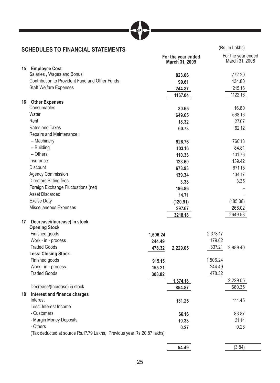

# **SCHEDULES TO FINANCIAL STATEMENTS** (Rs. In Lakhs)

|    |                                                                       |          | For the year ended<br>March 31, 2009 | For the year ended<br>March 31, 2008 |
|----|-----------------------------------------------------------------------|----------|--------------------------------------|--------------------------------------|
|    | 15 Employee Cost                                                      |          |                                      |                                      |
|    | Salaries, Wages and Bonus                                             |          | 823.06                               | 772.20                               |
|    | Contribution to Provident Fund and Other Funds                        |          | 99.61                                | 134.80                               |
|    | <b>Staff Welfare Expenses</b>                                         |          | 244.37                               | 215.16                               |
|    |                                                                       |          | 1167.04                              | 1122.16                              |
|    | 16 Other Expenses                                                     |          |                                      |                                      |
|    | Consumables                                                           |          | 30.65                                | 16.80                                |
|    | Water                                                                 |          | 649.65                               | 568.16                               |
|    | Rent                                                                  |          | 18.32                                | 27.07                                |
|    | Rates and Taxes                                                       |          | 60.73                                | 62.12                                |
|    | Repairs and Maintenance:                                              |          |                                      |                                      |
|    | -- Machinery                                                          |          | 926.76                               | 760.13                               |
|    | -- Building                                                           |          | 103.16                               | 84.81                                |
|    | -- Others                                                             |          | 110.33                               | 101.76                               |
|    | Insurance                                                             |          | 123.60                               | 139.42                               |
|    | <b>Discount</b>                                                       |          | 673.93                               | 671.15                               |
|    | <b>Agency Commission</b>                                              |          | 139.34                               | 134.17                               |
|    | Directors Sitting fees                                                |          | 3.38                                 | 3.35                                 |
|    | Foreign Exchange Fluctuations (net)                                   |          | 186.86                               |                                      |
|    | <b>Asset Discarded</b>                                                |          | 14.71                                |                                      |
|    | Excise Duty                                                           |          | (120.91)                             | (185.38)                             |
|    | Miscellaneous Expenses                                                |          | 297.67                               | 266.02                               |
|    |                                                                       |          | 3218.18                              | 2649.58                              |
| 17 | Decrease/(Increase) in stock                                          |          |                                      |                                      |
|    | <b>Opening Stock</b>                                                  |          |                                      |                                      |
|    | Finished goods                                                        | 1,506.24 |                                      | 2,373.17                             |
|    | Work - in - process                                                   | 244.49   |                                      | 179.02                               |
|    | <b>Traded Goods</b>                                                   | 478.32   | 2,229.05                             | 337.21<br>2,889.40                   |
|    | <b>Less: Closing Stock</b>                                            |          |                                      |                                      |
|    | Finished goods                                                        | 915.15   |                                      | 1,506.24                             |
|    | Work - in - process                                                   | 155.21   |                                      | 244.49                               |
|    | <b>Traded Goods</b>                                                   | 303.82   |                                      | 478.32                               |
|    |                                                                       |          | 1,374.18                             | 2,229.05                             |
|    | Decrease/(Increase) in stock                                          |          | 854.87                               | 660.35                               |
|    | 18 Interest and finance charges                                       |          |                                      |                                      |
|    | Interest                                                              |          | 131.25                               | 111.45                               |
|    | Less: Interest Income                                                 |          |                                      |                                      |
|    | - Customers                                                           |          | 66.16                                | 83.87                                |
|    | - Margin Money Deposits                                               |          | 10.33                                | 31.14                                |
|    | - Others                                                              |          | 0.27                                 | 0.28                                 |
|    | (Tax deducted at source Rs.17.79 Lakhs, Previous year Rs.20.87 lakhs) |          |                                      |                                      |

| 49<br>54.<br> | 0 <sub>A</sub> |
|---------------|----------------|

٦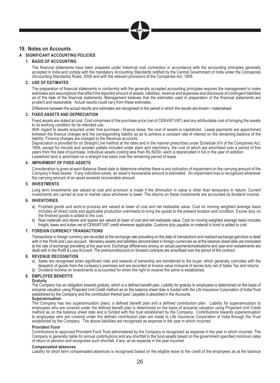

# **19. Notes on Accounts**

#### **A SIGNIFICANT ACCOUNTING POLICIES**

#### **1. BASIS OF ACCOUNTING**

The financial statements have been prepared under historical cost convention in accordance with the accounting principles generally accepted in India and comply with the mandatory Accounting Standards notified by the Central Government of India under the Companies (Accounting Standards) Rules, 2006 and with the relevant provisions of the Companies Act, 1956.

#### **2. USE OF ESTIMATES**

The preparation of financial statements in conformity with the generally accepted accounting principles requires the management to make estimates and assumptions that affect the reported amount of assets, liabilities, revenue and expenses and disclosure of contingent liabilities as of the date of the financial statements. Management believes that the estimates used in preparation of the financial statements are prudent and reasonable. Actual results could vary from these estimates.

Difference between the actual results and estimates are recognised in the period in which the results are known / materialised.

#### **3. FIXED ASSETS AND DEPRECIATION**

Fixed assets are stated at cost. Cost comprises of the purchase price (net of CENVAT/VAT) and any attributable cost of bringing the assets to its working condition for its intended use.

With regard to assets acquired under hire purchase / finance lease, the cost of assets is capitalized. Lease payments are apportioned between the finance charges and the corresponding liability so as to achieve a constant rate of interest on the remaining balance of the liability. Finance charges are charged to the Revenue accounts.

 Depreciation is provided for on Straight Line method at the rates and in the manner prescribed under Schedule XIV of the Companies Act, 1956, except for moulds and wooden pallets included under plant and machinery, the cost of which are amortised over a period of five years from the date of purchase. Individual assets costing less than Rs.5000/- each is depreciated in full in the year of addition. Leasehold land is amortised on a straight line basis over the remaining period of lease.

#### **4. IMPAIRMENT OF FIXED ASSETS**

 Consideration is given at each Balance Sheet date to determine whether there is any indication of impairment on the carrying amount of the Company's fixed assets. If any indication exists, an asset's recoverable amount is estimated. An impairment loss is recognized whenever the carrying amount of an asset exceeds recoverable amount.

#### **5. INVESTMENTS**

 Long term Investments are valued at cost and provision is made if the diminution in value is other than temporary in nature. Current investments are carried at cost or market value whichever is lower. The returns on these investments are accounted as dividend income.

#### **6. INVENTORIES**

- a) Finished goods and work-in-process are valued at lower of cost and net realisable value. Cost on moving weighted average basis includes all direct costs and applicable production overheads to bring the goods to the present location and condition. Excise duty on the finished goods is added to the cost.
- b) Raw materials and stores and spares are valued at lower of cost and net realisable value. Cost on moving weighted average basis includes<br>freight, taxes and duties net of CENVAT/VAT credit wherever applicable. Customs du

#### **7. FOREIGN CURRENCY TRANSACTIONS**

 Transactions in foreign currency are recorded at the exchange rate prevailing on the date of transactions and realized exchange gain/loss is dealt with in the Profit and Loss account. Monetary assets and liabilities denominated in foreign currencies as at the balance sheet date are translated at the rate of exchange prevailing at the year-end. Exchange differences arising on actual payments/realisations and year-end restatements are dealt with in the Profit & Loss Account. The premium/discount on forward contracts are amortised over the period of the contract.

#### **8. REVENUE RECOGNITION**

- a) Sales are recognised when significant risks and rewards of ownership are transferred to the buyer, which generally coincides with the despatch of goods from the company's premises and are recorded at Invoice value inclusive of excise duty net of Sales Tax and returns.
- b) Dividend Income on Investments is accounted for when the right to receive the same is established.

#### **9. EMPLOYEE BENEFITS**

#### **Gratuity**

The Company has an obligation towards gratuity, which is a defined benefit plan. Liability for gratuity to employees is determined on the basis of actuarial valuation using Projected Unit Credit method as on the balance sheet date is funded with the Life Insurance Corporation of India/Trust established by the Company and the contribution thereof paid / payable is absorbed in the Accounts.

#### **Superannuation**

The Company has two superannuation plans, a defined benefit plan and a defined contribution plan. Liability for superannuation to employees who are covered under the defined benefit plan is determined on the basis of actuarial valuation using Projected Unit Credit method as on the balance sheet date and is funded with the trust established by the Company. Contributions towards superannuation to employees who are covered under the defined contribution plan are made to Life Insurance Corporation of India through the Trust established by the Company. The above liabilities are recognised as expense in the year in which incurred.

#### **Provident Fund**

 Contributions to approved Provident Fund Trust administered by the Company is recognised as expense in the year in which incurred. The Company is generally liable for annual contributions and any shortfall in the fund assets based on the government specified minimum rates of return or pension and recognises such shortfall, if any, as an expense in the year incurred.

#### **Compensated absences**

Liability for short term compensated absences is recognised based on the eligible leave to the credit of the employees as at the balance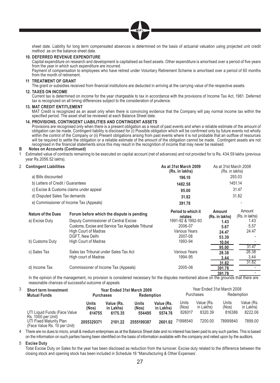

sheet date. Liability for long term compensated absences is determined on the basis of actuarial valuation using projected unit credit method as on the balance sheet date.

#### **10. DEFERRED REVENUE EXPENDITURE**

Capital expenditure on research and development is capitalised as fixed assets. Other expenditure is amortised over a period of five years from the year in which such expenditure are incurred.

 Payment of compensation to employees who have retired under Voluntary Retirement Scheme is amortised over a period of 60 months from the month of retirement.

### **11 TREATMENT OF GRANT**

The grant or subsidies received from financial institutions are deducted in arriving at the carrying value of the respective assets.

#### **12. TAXES ON INCOME**

 Current tax is determined on income for the year chargeable to tax in accordance with the provisions of Income Tax Act, 1961. Deferred tax is recognized on all timing differences subject to the consideration of prudence.

#### **13. MAT CREDIT ENTITLEMENT**

 MAT Credit is recognized as an asset only when there is convincing evidence that the Company will pay normal income tax within the specified period. The asset shall be reviewed at each Balance Sheet date.

#### **14. PROVISIONS, CONTINGENT LIABILITIES AND CONTINGENT ASSETS**

 Provisions are recognised only when there is a present obligation as a result of past events and when a reliable estimate of the amount of obligation can be made. Contingent liability is disclosed for (i) Possible obligation which will be confirmed only by future events not wholly within the control of the Company or (ii) Present obligations arising from past events where it is not probable that an outflow of resources will be required to settle the obligation or a reliable estimate of the amount of the obligation cannot be made. Contingent assets are not recognised in the financial statements since this may result in the recognition of income that may never be realised.

As at 31st March 2008

#### **B Notes on Accounts (Continued)**

1 Estimated value of contracts remaining to be executed on capital account (net of advances) and not provided for is Rs. 434.59 lakhs (previous year Rs.2056.52 lakhs).

| 2 Contingent Liabilities | As at 31st March 2009 |
|--------------------------|-----------------------|
|                          |                       |

| (Rs. in lakhs) | (Rs. in lakhs)           |
|----------------|--------------------------|
| 196.10         | 293.03                   |
| 1482.58        | 1451.14                  |
| 95.00          | 31.47                    |
| 31.82          | 31.82                    |
| 391.78         | $\overline{\phantom{a}}$ |
|                |                          |

| <b>Nature of the Dues</b> | Forum before which the dispute is pending          | Period to which it<br>relates | Amount<br>(Rs. in lakhs) | Amount<br>(Rs. in lakhs) |
|---------------------------|----------------------------------------------------|-------------------------------|--------------------------|--------------------------|
| a) Excise Duty            | Deputy Commissioner of Central Excise              | 1991-92 & 1992-93             | 1.43                     | 1.43                     |
|                           | Customs, Excise and Service Tax Appellate Tribunal | 2006-07                       | 5.67                     | 5.57                     |
|                           | <b>High Court of Madras</b>                        | <b>Various Years</b>          | 24.47                    | 24.47                    |
|                           | DGFT. New Delhi                                    | 2007-08                       | 53.39                    |                          |
| b) Customs Duty           | <b>High Court of Madras</b>                        | 1993-94                       | 10.04                    |                          |
|                           |                                                    |                               | 95.00                    | 31.47                    |
| c) Sales Tax              | Sales tax Tribunal under Sales Tax Act             | <b>Various Years</b>          | 28.38                    | 28.38                    |
|                           | High court of Madras                               | 1994-95                       | 3.44                     | 3.44                     |
|                           |                                                    |                               | 31.82                    | 31.82                    |
| d) Income Tax             | Commissioner of Income Tax (Appeals)               | 2005-06                       | 391.78                   |                          |
|                           |                                                    |                               | 391.78                   |                          |

**391.78** - In the opinion of the management, no provision is considered necessary for the disputes mentioned above on the grounds that there are reasonable chances of successful outcome of appeals

| <b>Short term Investment</b> |                                                         |                          | Year Ended 31st March 2009         |                          |                                    |                          |                                    | Year Ended 31st March 2008 |                                    |
|------------------------------|---------------------------------------------------------|--------------------------|------------------------------------|--------------------------|------------------------------------|--------------------------|------------------------------------|----------------------------|------------------------------------|
|                              | <b>Mutual Funds</b>                                     | <b>Purchases</b>         |                                    | <b>Redemption</b>        |                                    |                          | Purchases                          | Redemption                 |                                    |
|                              | UTI Liquid Funds (Face Value<br>Rs. 1000 per Unit)      | Units<br>(Nos)<br>614755 | Value (Rs.<br>in Lakhs)<br>6175.35 | Units<br>(Nos)<br>554495 | Value (Rs.<br>in Lakhs)<br>5574.76 | Units<br>(Nos)<br>826017 | Value (Rs.<br>in Lakhs)<br>8320.39 | Units<br>(Nos)<br>816386   | Value (Rs.<br>in Lakhs)<br>8222.06 |
|                              | UTI Fixed Maturity Plan<br>(Face Value Rs. 10 per Unit) | 2055329371               | 2101.22                            | 2555199387               | 2601.02                            | 71998540                 | 7200.00                            | 78999840                   | 7899.00                            |

4 There are no dues to micro, small & medium enterprises as at the Balance Sheet date and no interest has been paid to any such parties. This is based on the information on such parties having been identified on the basis of information available with the company and relied upon by the auditors.

#### 5 **Excise Duty**

 Total Excise Duty on Sales for the year has been disclosed as reduction from the turnover. Excise duty related to the difference between the closing stock and opening stock has been included in Schedule 16 "Manufacturing & Other Expenses'.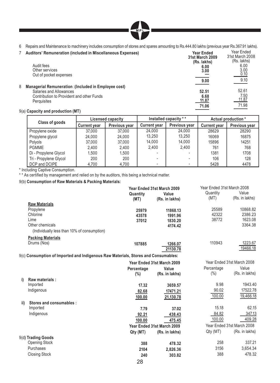

- 6 Repairs and Maintenance to machinery includes consumption of stores and spares amounting to Rs.444.80 lakhs (previous year Rs.367.91 lakhs).
- 7 **Auditors' Remuneration (included in Miscellaneous Expenses) Year Ended 31st March 2009 (Rs. lakhs)** Year Ended 31st March 2008  $(Rs. lakhs)$ <br> $6.00$ Audit fees **6.00** 6.00 Other services **3.00** 3.00 Other services and the services of the services of the services of the services of the services of the services of the services of the services of the services of the services of the services of the services of the service **9.00** 9.10 8 **Managerial Remuneration :(Included in Employee cost)** Salaries and Allowances<br>
Salaries and Allowances<br>
Contribution to Provident and other Funds **52.51**<br> **52.51**<br> **52.51**<br> **52.51**<br> **52.61**<br> **52.61**<br> **52.61** Contribution to Provident and other Funds **6.68** 7.50 **Perquisites 11.87** 11.87 11.87 **71.06** 71.98

#### 9(a) **Capacity and production (MT)**

|                        | Licensed capacity   |               |                     | Installed capacity ** | Actual production * |               |  |
|------------------------|---------------------|---------------|---------------------|-----------------------|---------------------|---------------|--|
| Class of goods         | <b>Current year</b> | Previous year | <b>Current year</b> | Previous year         | <b>Current year</b> | Previous year |  |
| Propylene oxide        | 37.000              | 37,000        | 24.000              | 24.000                | 28629               | 28290         |  |
| Propylene glycol       | 24.000              | 24.000        | 13.250              | 13.250                | 16069               | 16875         |  |
| Polvols                | 37.000              | 37,000        | 14.000              | 14.000                | 15896               | 14251         |  |
| <b>PGMME</b>           | 2,400               | 2.400         | 2.400               | 2.400                 | 761                 | 768           |  |
| Di - Propylene Glycol  | 1.500               | 1.500         |                     |                       | 1381                | 1708          |  |
| Tri - Propylene Glycol | 200                 | 200           |                     | $\sim$                | 106                 | 128           |  |
| DCP and DCIPE          | 4,700               | 4.700         |                     |                       | 5428                | 4478          |  |

\* Including Captive Consumption.

\* \* As certified by management and relied on by the auditors, this being a technical matter.

#### 9(b) **Consumption of Raw Materials & Packing Materials:**

|                                             | Year Ended 31st March 2009 |                         | Year Ended 31st March 2008 |                         |
|---------------------------------------------|----------------------------|-------------------------|----------------------------|-------------------------|
|                                             | Quantity<br>(MT)           | Value<br>(Rs. in lakhs) | Quantity<br>(MT)           | Value<br>(Rs. in lakhs) |
| <b>Raw Materials</b>                        |                            |                         |                            |                         |
| Propylene                                   | 25979                      | 11868.13                | 25589                      | 10868.82                |
| Chlorine                                    | 43578                      | 1991.96                 | 42322                      | 2386.23                 |
| Lime                                        | 37012                      | 1830.20                 | 38772                      | 1623.08                 |
| Other chemicals                             |                            | 4174.42                 |                            | 3364.38                 |
| (Individually less than 10% of consumption) |                            |                         |                            |                         |
| <b>Packing Materials</b>                    |                            |                         |                            |                         |
| Drums (Nos)                                 | 107885                     | 1266.07                 | 110943                     | 1223.67                 |
|                                             |                            | 21130.78                |                            | 19466.18                |

#### 9(c) **Consumption of Imported and Indigenous Raw Materials, Stores and Consumables:**

|                                 |                       | Year Ended 31st March 2009 |                            | Year Ended 31st March 2008 |
|---------------------------------|-----------------------|----------------------------|----------------------------|----------------------------|
|                                 | Percentage<br>$(\% )$ | Value<br>(Rs. in lakhs)    | Percentage<br>$(\%)$       | Value<br>(Rs. in lakhs)    |
| Raw materials:<br>i)            |                       |                            |                            |                            |
| Imported                        | 17.32                 | 3659.57                    | 9.98                       | 1943.40                    |
| Indigenous                      | 82.68                 | 17471.21                   | 90.02                      | 17522.78                   |
|                                 | 100.00                | 21,130.78                  | 100.00                     | 19,466.18                  |
| ii)<br>Stores and consumables : |                       |                            |                            |                            |
| Imported                        | 7.79                  | 37.02                      | 15.18                      | 62.15                      |
| Indigenous                      | 92.21                 | 438.43                     | 84.82                      | 347.13                     |
|                                 | 100.00                | 475.45                     | 100.00                     | 409.28                     |
|                                 |                       | Year Ended 31st March 2009 | Year Ended 31st March 2008 |                            |
|                                 | Qty (MT)              | (Rs. in lakhs)             | Qty (MT)                   | (Rs. in lakhs)             |
| 9(d) Trading Goods              |                       |                            |                            |                            |
| Opening Stock                   | 388                   | 478.32                     | 258                        | 337.21                     |
| Purchases                       | 2104                  | 2,826.36                   | 3156                       | 3,654.34                   |
| <b>Closing Stock</b>            | 240                   | 303.82                     | 388                        | 478.32                     |
|                                 | $\cap$                |                            |                            |                            |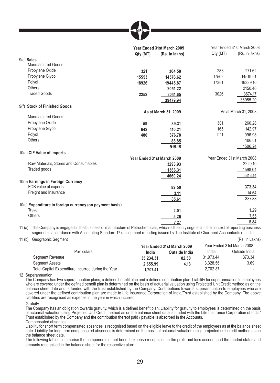

|                                                                    | Year Ended 31st March 2009 |                            | Year Ended 31st March 2008 |                            |
|--------------------------------------------------------------------|----------------------------|----------------------------|----------------------------|----------------------------|
|                                                                    | Qty (MT)                   | (Rs. in lakhs)             | Qty (MT)                   | (Rs. in lakhs)             |
| $9(e)$ Sales                                                       |                            |                            |                            |                            |
| Manufactured Goods:                                                |                            |                            |                            |                            |
| Propylene Oxide                                                    | 321                        | 364.58                     | 283                        | 271.62                     |
| Propylene Glycol                                                   | 15553                      | 14576.62                   | 17502                      | 14519.91                   |
| Polyol                                                             | 18926                      | 19445.87                   | 17361                      | 16339.10                   |
| Others                                                             |                            | 2051.22                    |                            | 2150.40                    |
| <b>Traded Goods</b>                                                | 2252                       | 3041.65                    | 3026                       | 3674.17                    |
|                                                                    |                            | 39479.94                   |                            | 36955.20                   |
| 9(f) Stock of Finished Goods                                       |                            |                            |                            |                            |
|                                                                    |                            | As at March 31, 2009       |                            | As at March 31, 2008       |
| Manufactured Goods:                                                |                            |                            |                            |                            |
| Propylene Oxide                                                    | 59                         | 39.31                      | 301                        | 260.28                     |
| Propylene Glycol                                                   | 642                        | 410.21                     | 165                        | 142.97                     |
| Polyol                                                             | 480                        | 376.78                     | 1111                       | 996.98                     |
| Others                                                             |                            | 88.85                      |                            | 106.01                     |
|                                                                    |                            | 915.15                     |                            | 1506.24                    |
| 10(a) CIF Value of Imports                                         |                            |                            |                            |                            |
|                                                                    |                            | Year Ended 31st March 2009 |                            | Year Ended 31st March 2008 |
| Raw Materials, Stores and Consumables                              |                            | 3293.93                    |                            | 2220.10                    |
| Traded goods                                                       |                            | 1366.31                    |                            | 1598.04                    |
|                                                                    |                            | 4660.24                    |                            | 3818.14                    |
| 10(b) Earnings in Foreign Currency                                 |                            |                            |                            |                            |
| FOB value of exports                                               |                            | 82.50                      |                            | 373.34                     |
| Freight and Insurance                                              |                            | 3.11                       |                            | 14.54                      |
|                                                                    |                            | 85.61                      |                            | 387.88                     |
|                                                                    |                            |                            |                            |                            |
| 10(c) Expenditure in foreign currency (on payment basis)<br>Travel |                            | 2.01                       |                            | 1.29                       |
| Others                                                             |                            |                            |                            |                            |
|                                                                    |                            | 5.26                       |                            | 7.55                       |
|                                                                    |                            | 7.27                       |                            | 8.84                       |

11 (a) The Company is engaged in the business of manufacture of Petrochemicals, which is the only segment in the context of reporting business segment in accordance with Accounting Standard 17 on segment reporting issued by The Institute of Chartered Accountants of India.

11 (b) Geographic Segment (Rs. in Lakhs)

| <b>Opportunity opportunity</b> |                                                    |           |                            |           |                            |
|--------------------------------|----------------------------------------------------|-----------|----------------------------|-----------|----------------------------|
|                                |                                                    |           | Year Ended 31st March 2009 |           | Year Ended 31st March 2008 |
|                                | <b>Particulars</b>                                 | India     | Outside India              | India     | Outside India              |
| Segment Revenue                |                                                    | 35.234.31 | 82.50                      | 31.973.44 | 373.34                     |
| <b>Segment Assets</b>          |                                                    | 2.655.99  | 4.13                       | 3.328.56  | 3.69                       |
|                                | Total Capital Expenditure Incurred during the Year | 1.707.41  | $\sim$                     | 2.702.87  |                            |
|                                |                                                    |           |                            |           |                            |

12 Superannuation

The Company has two superannuation plans, a defined benefit plan and a defined contribution plan. Liability for superannuation to employees who are covered under the defined benefit plan is determined on the basis of actuarial valuation using Projected Unit Credit method as on the balance sheet date and is funded with the trust established by the Company. Contributions towards superannuation to employees who are covered under the defined contribution plan are made to Life Insurance Corporation of India/Trust established by the Company. The above liabilities are recognised as expense in the year in which incurred.

**Gratuity** 

The Company has an obligation towards gratuity, which is a defined benefit plan. Liability for gratuity to employees is determined on the basis of actuarial valuation using Projected Unit Credit method as on the balance sheet date is funded with the Life Insurance Corporation of India/ Trust established by the Company and the contribution thereof paid / payable is absorbed in the Accounts. Compensated absences

 Liability for short term compensated absences is recognised based on the eligible leave to the credit of the employees as at the balance sheet date. Liability for long term compensated absences is determined on the basis of actuarial valuation using projected unit credit method as on the balance sheet date.

The following tables summarise the components of net benefit expense recognised in the profit and loss account and the funded status and amounts recognised in the balance sheet for the respective plan: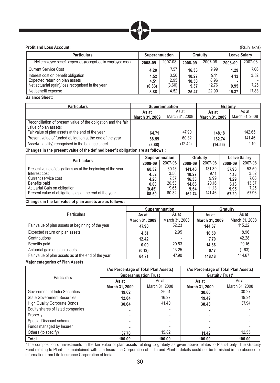

#### **Profit and Loss Account:** (Rs.in lakhs)

| <b>Particulars</b>                                          | Superannuation |         | Gratuity |         |         | <b>Leave Salary</b> |
|-------------------------------------------------------------|----------------|---------|----------|---------|---------|---------------------|
| Net employee benefit expenses (recognised in employee cost) | 2008-09        | 2007-08 | 2008-09  | 2007-08 | 2008-09 | 2007-08             |
| <b>Current Service Cost</b>                                 | 4.20           | 7.57    | 16.33    | 9.99    | 1.29    | 7.06                |
| Interest cost on benefit obligation                         | 4.52           | 3.50    | 10.27    | 9.11    | 4.13    | 3.52                |
| Expected return on plan assets                              | 4.51           | 2.95    | 10.50    | 8.96    |         |                     |
| Net actuarial (gain)/loss recognised in the year            | (0.33)         | (3.60)  | 9.37     | 12.76   | 9.95    | 7.25                |
| Net benefit expense                                         | 3.88           | 4.52    | 25.47    | 22.90   | 15.37   | 17.83               |

#### **Balance Sheet:**

| <b>Particulars</b>                                                                      | <b>Superannuation</b>   |                         | Gratuity                |                         |  |
|-----------------------------------------------------------------------------------------|-------------------------|-------------------------|-------------------------|-------------------------|--|
|                                                                                         | As at<br>March 31, 2009 | As at<br>March 31, 2008 | As at<br>March 31, 2009 | As at<br>March 31, 2008 |  |
| Reconciliation of present value of the obligation and the fair<br>value of plan assets: |                         |                         |                         |                         |  |
| Fair value of plan assets at the end of the year                                        | 64.71                   | 47.90                   | 148.18                  | 142.65                  |  |
| Present value of funded obligation at the end of the year                               | 68.59                   | 60.32                   | 162.74                  | 141.46                  |  |
| Asset/(Liability) recognised in the balance sheet                                       | (3.88)                  | (12.42)                 | (14.56)                 | 1.19                    |  |

 **Changes in the present value of the defined benefit obligation are as follows :** 

| <b>Particulars</b>                                                                                                                                                                                               |                                                  | Superannuation                                  |                                                     | Gratuity                                           |                                                | <b>Leave Salary</b>                             |
|------------------------------------------------------------------------------------------------------------------------------------------------------------------------------------------------------------------|--------------------------------------------------|-------------------------------------------------|-----------------------------------------------------|----------------------------------------------------|------------------------------------------------|-------------------------------------------------|
|                                                                                                                                                                                                                  |                                                  | 2007-08                                         | 2008-09                                             | 2007-08                                            | 2008-09                                        | 2007-08                                         |
| Present value of obligations as at the beginning of the year<br>Interest cost<br>Current service cost<br>Benefits paid<br>Actuarial Gain on obligation<br>Present value of obligations as at the end of the year | 60.32<br>4.52<br>4.20<br>0.00<br>(0.45)<br>68.59 | 60.13<br>3.50<br>7.57<br>20.53<br>9.65<br>60.32 | 141.46<br>10.27<br>16.33<br>14.86<br>9.54<br>162.74 | 131.39<br>9.11<br>9.99<br>20.16<br>11.13<br>141.46 | 57.96<br>4.13<br>1.29<br>6.13<br>9.95<br>67.20 | 53.50<br>3.52<br>7.06<br>13.37<br>7.25<br>57.96 |

#### **Changes in the fair value of plan assets are as follows :**

|                                                     | Superannuation |                | Gratuity       |                |  |
|-----------------------------------------------------|----------------|----------------|----------------|----------------|--|
| <b>Particulars</b>                                  | As at          | As at          | As at          | As at          |  |
|                                                     | March 31, 2009 | March 31, 2008 | March 31, 2009 | March 31, 2008 |  |
| Fair value of plan assets at beginning of the year  | 47.90          | 52.23          | 144.67         | 115.22         |  |
| Expected return on plan assets                      | 4.51           | 2.95           | 10.50          | 8.96           |  |
| Contributions                                       | 12.42          |                | 7.70           | 42.28          |  |
| Benefits paid                                       | 0.00           | 20.53          | 14.86          | 20.16          |  |
| Actuarial gain on plan assets                       | (0.12)         | 13.25          | 0.17           | (1.63)         |  |
| Fair value of plan assets as at the end of the year | 64.71          | 47.90          | 148.18         | 144.67         |  |

 **Major categories of Plan Assets**

|                                     | (As Percentage of Total Plan Assets) |                | (As Percentage of Total Plan Assets) |                |  |  |
|-------------------------------------|--------------------------------------|----------------|--------------------------------------|----------------|--|--|
| <b>Particulars</b>                  | <b>Superannuation Trust</b>          |                | <b>Gratuity Trust*</b>               |                |  |  |
|                                     | As at                                | As at          | As at                                | As at          |  |  |
|                                     | March 31, 2009                       | March 31, 2008 | March 31, 2009                       | March 31, 2008 |  |  |
| Government of India Securities      | 19.62                                | 26.51          | 30.66                                | 30.27          |  |  |
| <b>State Government Securities</b>  | 12.04                                | 16.27          | 19.49                                | 19.24          |  |  |
| <b>High Quality Corporate Bonds</b> | 30.64                                | 41.40          | 38.43                                | 37.94          |  |  |
| Equity shares of listed companies   |                                      |                |                                      |                |  |  |
| Property                            |                                      |                | -                                    |                |  |  |
| Special Discount scheme             |                                      |                |                                      |                |  |  |
| Funds managed by Insurer            |                                      |                |                                      |                |  |  |
| Others (to specify)                 | 37.70                                | 15.82          | 11.42                                | 12.55          |  |  |
| Total                               | 100.00                               | 100.00         | 100.00                               | 100.00         |  |  |

 \*The composition of investments in the fair value of plan assets relating to gratuity as given above relates to Plant-I only. The Gratuity Fund relating to Plant-II is maintained with Life Insurance Corporation of India and Plant-II details could not be furnished in the absence of information from Life Insurance Corporation of India.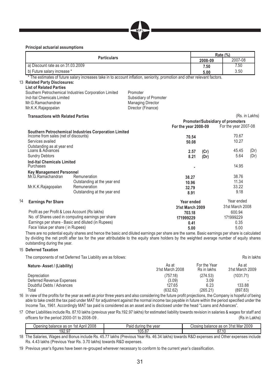

#### **Principal actuarial assumptions**

|    |                                                          |                                                                                                                           |                                                |                      |         | Rate (%)                         |                |
|----|----------------------------------------------------------|---------------------------------------------------------------------------------------------------------------------------|------------------------------------------------|----------------------|---------|----------------------------------|----------------|
|    |                                                          | <b>Particulars</b>                                                                                                        |                                                |                      | 2008-09 | 2007-08                          |                |
|    | a) Discount rate as on 31.03.2009                        |                                                                                                                           |                                                |                      | 7.50    | 7.50                             |                |
|    | b) Future salary increase *                              |                                                                                                                           |                                                |                      | 5.00    | 3.50                             |                |
|    |                                                          | * The estimates of future salary increases take in to account inflation, seniority, promotion and other relevant factors. |                                                |                      |         |                                  |                |
|    | 13 Related Party Disclosures:                            |                                                                                                                           |                                                |                      |         |                                  |                |
|    | <b>List of Related Parties</b>                           |                                                                                                                           |                                                |                      |         |                                  |                |
|    |                                                          | Southern Petrochemical Industries Corporation Limited                                                                     | Promoter                                       |                      |         |                                  |                |
|    | Ind-Ital Chemicals Limited                               |                                                                                                                           | Subsidiary of Promoter                         |                      |         |                                  |                |
|    | Mr.G.Ramachandran                                        |                                                                                                                           | <b>Managing Director</b><br>Director (Finance) |                      |         |                                  |                |
|    | Mr.K.K.Rajagopalan                                       |                                                                                                                           |                                                |                      |         |                                  |                |
|    | <b>Transactions with Related Parties</b>                 |                                                                                                                           |                                                |                      |         |                                  | (Rs. in Lakhs) |
|    |                                                          |                                                                                                                           |                                                |                      |         | Promoter/Subsidiary of promoters |                |
|    |                                                          |                                                                                                                           |                                                | For the year 2008-09 |         | For the year 2007-08             |                |
|    |                                                          | Southern Petrochemical Industries Corporation Limited                                                                     |                                                |                      |         |                                  |                |
|    | Income from sales (net of discounts)<br>Services availed |                                                                                                                           |                                                | 70.54                |         | 70.67<br>10.27                   |                |
|    |                                                          |                                                                                                                           |                                                | 50.08                |         |                                  |                |
|    | Outstanding as at year end<br>Loans & Advances           |                                                                                                                           |                                                | 2.57                 | (Cr)    | 45.45                            | (Dr)           |
|    | <b>Sundry Debtors</b>                                    |                                                                                                                           |                                                | 8.21                 | (Dr)    | 5.64                             | (Dr)           |
|    | <b>Ind-Ital Chemicals Limited</b>                        |                                                                                                                           |                                                |                      |         |                                  |                |
|    | Purchases                                                |                                                                                                                           |                                                |                      |         | 14.95                            |                |
|    | <b>Key Management Personnel</b>                          |                                                                                                                           |                                                |                      |         |                                  |                |
|    | Mr.G.Ramachandran                                        | Remuneration                                                                                                              |                                                | 38.27                |         | 38.76                            |                |
|    |                                                          | Outstanding at the year end                                                                                               |                                                | 10.96                |         | 11.34                            |                |
|    | Mr.K.K.Rajagopalan                                       | Remuneration                                                                                                              |                                                | 32.79                |         | 33.22                            |                |
|    |                                                          | Outstanding at the year end                                                                                               |                                                | 8.91                 |         | 9.18                             |                |
| 14 | <b>Earnings Per Share</b>                                |                                                                                                                           |                                                | Year ended           |         | Year ended                       |                |
|    |                                                          |                                                                                                                           |                                                | 31st March 2009      |         | 31st March 2008                  |                |
|    | Profit as per Profit & Loss Account (Rs lakhs)           |                                                                                                                           |                                                | 703.18               |         | 600.94                           |                |
|    |                                                          | No. of Shares used in computing earnings per share                                                                        |                                                | 171999229            |         | 171999229                        |                |
|    |                                                          | Earnings per share - Basic and diluted (in Rupees)                                                                        |                                                | 0.41                 |         | 0.35                             |                |
|    | Face Value per share (in Rupees)                         |                                                                                                                           |                                                | 5.00                 |         | 5.00                             |                |

 There are no potential equity shares and hence the basic and diluted earnings per share are the same. Basic earnings per share is calculated by dividing the net profit after tax for the year attributable to the equity share holders by the weighted average number of equity shares outstanding during the year.

#### 15 **Deferred Taxation**

The components of net Deferred Tax Liability are as follows:<br>Rs in lakhs

| Nature-Asset / (Liability) | As at<br>31st March 2008 | For the Year<br>Rs in lakhs | As at<br>31st March 2009 |
|----------------------------|--------------------------|-----------------------------|--------------------------|
| Depreciation               | (757.18)                 | (274.53)                    | (1031.71)                |
| Deferred Revenue Expenses  | (3.09)                   | 3.09                        |                          |
| Doubtful Debts / Advances  | 127.65                   | 6.23                        | 133.88                   |
| Total                      | (632.62)                 | (265.21)                    | (897.83)                 |

16 In view of the profits for the year as well as prior three years and also considering the future profit projections, the Company is hopeful of being able to take credit the tax paid under MAT for adjustment against the normal income tax payable in future within the period specified under the Income Tax, 1961. Accordingly MAT tax paid is considered as an asset and is disclosed under the head "Loans and Advances".

17 Other Liabilities include Rs. 87.10 lakhs (previous year Rs.192.97 lakhs) for estimated liability towards revision in salaries & wages for staff and officers for the period 2000-01 to 2008-09. Contract the period 2000-01 to 2008-09.

| 2008<br>April<br>$\sim$<br>palar<br>$\sim$<br>י הי<br>as or<br>າວເ<br>шк<br>سائنا | $.$ $\sim$<br>during<br>vear<br>the<br>alu | 2009<br>Mar<br>$\leq 1e$<br>$\sim$ $\sim$<br>$\sim$<br>. or<br>bala<br>⊝losind ∶<br>∵<br>- כס<br>ີ<br>ILС |
|-----------------------------------------------------------------------------------|--------------------------------------------|-----------------------------------------------------------------------------------------------------------|
| 192.9                                                                             | $\sim$ $-$<br>$\sim$ $-$<br>vv.v           | --<br>01.11                                                                                               |

18 The Salaries, Wages and Bonus include Rs. 45.77 lakhs (Previous Year Rs. 46.34 lakhs) towards R&D expenses and Other expenses include Rs. 4.43 lakhs (Previous Year Rs. 3.70 lakhs) towards R&D expenses.

19 Previous year's figures have been re-grouped wherever necessary to conform to the current year's classification.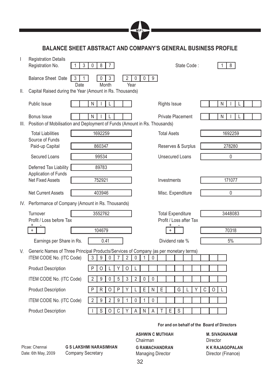

**BALANCE SHEET ABSTRACT AND COMPANY'S GENERAL BUSINESS PROFILE**

| $\mathsf{I}$ | <b>Registration Details</b><br>Registration No.                                                | 3<br>$\mathbf 0$<br>8<br>$\overline{7}$                          |                                          |                                             | State Code: |        | 8       |  |
|--------------|------------------------------------------------------------------------------------------------|------------------------------------------------------------------|------------------------------------------|---------------------------------------------|-------------|--------|---------|--|
|              | <b>Balance Sheet Date</b><br>3<br>Date                                                         | 3<br>2 I<br>1<br>0<br>Month<br>Year                              | $\mathsf 0$<br>$\mathsf{0}$<br>9         |                                             |             |        |         |  |
| Ш.           | Capital Raised during the Year (Amount in Rs. Thousands)                                       |                                                                  |                                          |                                             |             |        |         |  |
|              | Public Issue                                                                                   | $\mathsf{N}$                                                     |                                          | <b>Rights Issue</b>                         |             |        | N       |  |
|              | Bonus Issue<br>III. Position of Mobilisation and Deployment of Funds (Amount in Rs. Thousands) | N<br>L                                                           |                                          | Private Placement                           |             |        | N       |  |
|              | <b>Total Liabilities</b>                                                                       | 1692259                                                          |                                          | <b>Total Asets</b>                          |             |        | 1692259 |  |
|              | Source of Funds<br>Paid-up Capital                                                             | 860347                                                           |                                          | Reserves & Surplus                          |             |        | 278280  |  |
|              | Secured Loans                                                                                  | 99534                                                            |                                          | <b>Unsecured Loans</b>                      |             |        | 0       |  |
|              | Deferred Tax Liability<br>Application of Funds                                                 | 89783                                                            |                                          |                                             |             |        |         |  |
|              | <b>Net Fixed Assets</b>                                                                        | 752921                                                           |                                          | Investments                                 |             |        | 171077  |  |
|              | <b>Net Current Assets</b>                                                                      | 403946                                                           |                                          | Misc. Expenditure                           |             |        | 0       |  |
|              | IV. Performance of Company (Amount in Rs. Thousands)                                           |                                                                  |                                          |                                             |             |        |         |  |
|              | Turnover                                                                                       | 3552762                                                          |                                          | <b>Total Expenditure</b>                    |             |        | 3448083 |  |
|              | Profit / Loss before Tax                                                                       |                                                                  |                                          | Profit / Loss after Tax                     |             |        |         |  |
|              | $+$                                                                                            | 104679                                                           |                                          |                                             |             |        | 70318   |  |
|              | Earnings per Share in Rs.                                                                      | 0.41                                                             |                                          | Dividend rate %                             |             |        | 5%      |  |
| V.           | Generic Names of Three Principal Products/Services of Company (as per monetary terms)          |                                                                  |                                          |                                             |             |        |         |  |
|              | ITEM CODE No. (ITC Code)                                                                       | 3<br>$\boldsymbol{9}$<br>0<br>2<br>7                             | 0<br>0<br>1                              |                                             |             |        |         |  |
|              | <b>Product Description</b>                                                                     | $\mathsf{P}$<br>0<br>Υ<br>0                                      | L                                        |                                             |             |        |         |  |
|              | ITEM CODE No. (ITC Code)                                                                       | $\overline{2}$<br>$\boldsymbol{9}$<br>$\boldsymbol{0}$<br>5<br>3 | $\overline{2}$<br>$\pmb{0}$<br>$\pmb{0}$ |                                             |             |        |         |  |
|              | <b>Product Description</b>                                                                     | $\overline{P}$<br>$\mathsf{P}$<br>${\sf R}$<br>$\mathsf O$<br>Υ  | $\mathsf E$<br>${\sf N}$<br>L            | $\overline{E}$<br>G                         |             | C<br>0 |         |  |
|              | ITEM CODE No. (ITC Code)                                                                       | $\overline{2}$<br>9<br>$\overline{2}$<br>$\boldsymbol{9}$<br>1   | 0<br>0<br>1                              |                                             |             |        |         |  |
|              | <b>Product Description</b>                                                                     | $\overline{\mathsf{C}}$<br>S<br>$\mathsf O$<br>Υ                 | A<br>$\mathsf{N}$<br>$\overline{A}$      | E<br>S                                      |             |        |         |  |
|              |                                                                                                |                                                                  |                                          | For and on behalf of the Board of Directors |             |        |         |  |

Plcae: Chennai Date: 6th May, 2009 **G S LAKSHMI NARASIMHAN** Company Secretary

# **ASHWIN C MUTHIAH** Chairman **G RAMACHANDRAN** Managing Director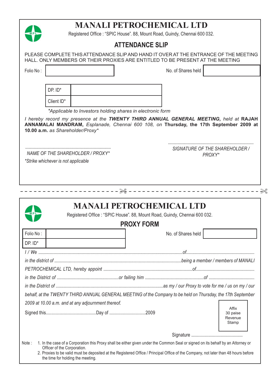

the time for holding the meeting.

# **MANALI PETROCHEMICAL LTD**

Registered Office : "SPIC House". 88, Mount Road, Guindy, Chennai 600 032.

# **ATTENDANCE SLIP**

|                                                                         |                                                            | HALL. ONLY MEMBERS OR THEIR PROXIES ARE ENTITLED TO BE PRESENT AT THE MEETING                                                                                                   |                                       |
|-------------------------------------------------------------------------|------------------------------------------------------------|---------------------------------------------------------------------------------------------------------------------------------------------------------------------------------|---------------------------------------|
| Folio No:                                                               |                                                            | No. of Shares held                                                                                                                                                              |                                       |
|                                                                         |                                                            |                                                                                                                                                                                 |                                       |
| DP. ID*                                                                 |                                                            |                                                                                                                                                                                 |                                       |
| Client ID*                                                              |                                                            |                                                                                                                                                                                 |                                       |
|                                                                         | *Applicable to Investors holding shares in electronic form |                                                                                                                                                                                 |                                       |
| 10.00 a.m. as Shareholder/Proxy*                                        |                                                            | I hereby record my presence at the TWENTY THIRD ANNUAL GENERAL MEETING, held at RAJAH<br>ANNAMALAI MANDRAM, Esplanade, Chennai 600 108, on Thursday, the 17th September 2009 at |                                       |
| NAME OF THE SHAREHOLDER / PROXY*<br>*Strike whichever is not applicable |                                                            | SIGNATURE OF THE SHAREHOLDER /<br>PROXY*                                                                                                                                        |                                       |
|                                                                         |                                                            |                                                                                                                                                                                 |                                       |
|                                                                         | <b>MANALI PETROCHEMICAL LTD</b>                            | Registered Office : "SPIC House". 88, Mount Road, Guindy, Chennai 600 032.                                                                                                      |                                       |
|                                                                         | <b>PROXY FORM</b>                                          |                                                                                                                                                                                 |                                       |
|                                                                         |                                                            | No. of Shares held                                                                                                                                                              |                                       |
|                                                                         |                                                            |                                                                                                                                                                                 |                                       |
|                                                                         |                                                            |                                                                                                                                                                                 |                                       |
|                                                                         |                                                            |                                                                                                                                                                                 |                                       |
|                                                                         |                                                            |                                                                                                                                                                                 |                                       |
|                                                                         |                                                            |                                                                                                                                                                                 |                                       |
| Folio No:<br>$DP.$ $ID^*$                                               |                                                            | behalf, at the TWENTY THIRD ANNUAL GENERAL MEETING of the Company to be held on Thursday, the 17th September                                                                    |                                       |
|                                                                         |                                                            |                                                                                                                                                                                 |                                       |
|                                                                         |                                                            |                                                                                                                                                                                 | Affix<br>30 paise<br>Revenue<br>Stamp |
| 2009 at 10.00 a.m. and at any adjournment thereof.                      |                                                            |                                                                                                                                                                                 |                                       |